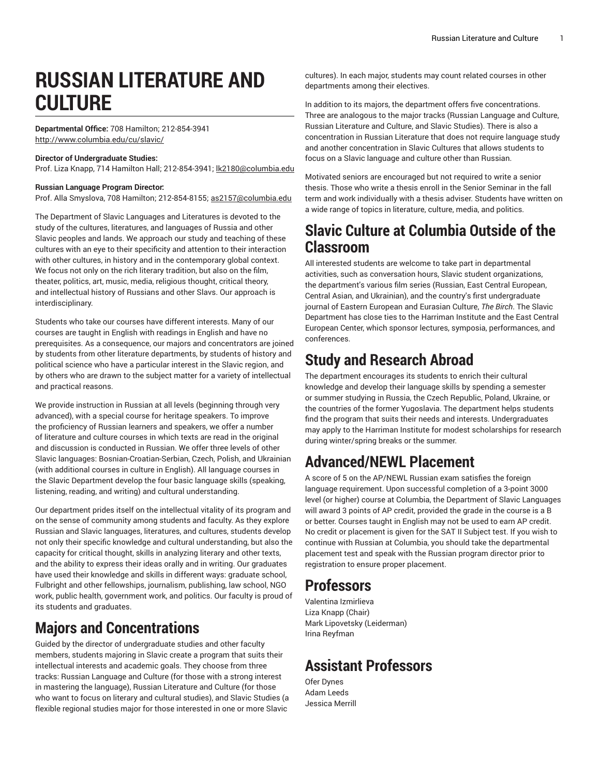# **RUSSIAN LITERATURE AND CULTURE**

# **Departmental Office:** 708 Hamilton; 212-854-3941 <http://www.columbia.edu/cu/slavic/>

### **Director of Undergraduate Studies:**

Prof. Liza Knapp, 714 Hamilton Hall; 212-854-3941; [lk2180@columbia.edu](http://bulletin.columbia.edu/general-studies/majors-concentrations/russian-literature-culture/lk2180@columbia.edu)

### **Russian Language Program Director:**

Prof. Alla Smyslova, 708 Hamilton; 212-854-8155; [as2157@columbia.edu](mailto:as2157@columbia.edu)

The Department of Slavic Languages and Literatures is devoted to the study of the cultures, literatures, and languages of Russia and other Slavic peoples and lands. We approach our study and teaching of these cultures with an eye to their specificity and attention to their interaction with other cultures, in history and in the contemporary global context. We focus not only on the rich literary tradition, but also on the film, theater, politics, art, music, media, religious thought, critical theory, and intellectual history of Russians and other Slavs. Our approach is interdisciplinary.

Students who take our courses have different interests. Many of our courses are taught in English with readings in English and have no prerequisites. As a consequence, our majors and concentrators are joined by students from other literature departments, by students of history and political science who have a particular interest in the Slavic region, and by others who are drawn to the subject matter for a variety of intellectual and practical reasons.

We provide instruction in Russian at all levels (beginning through very advanced), with a special course for heritage speakers. To improve the proficiency of Russian learners and speakers, we offer a number of literature and culture courses in which texts are read in the original and discussion is conducted in Russian. We offer three levels of other Slavic languages: Bosnian-Croatian-Serbian, Czech, Polish, and Ukrainian (with additional courses in culture in English). All language courses in the Slavic Department develop the four basic language skills (speaking, listening, reading, and writing) and cultural understanding.

Our department prides itself on the intellectual vitality of its program and on the sense of community among students and faculty. As they explore Russian and Slavic languages, literatures, and cultures, students develop not only their specific knowledge and cultural understanding, but also the capacity for critical thought, skills in analyzing literary and other texts, and the ability to express their ideas orally and in writing. Our graduates have used their knowledge and skills in different ways: graduate school, Fulbright and other fellowships, journalism, publishing, law school, NGO work, public health, government work, and politics. Our faculty is proud of its students and graduates.

# **Majors and Concentrations**

Guided by the director of undergraduate studies and other faculty members, students majoring in Slavic create a program that suits their intellectual interests and academic goals. They choose from three tracks: Russian Language and Culture (for those with a strong interest in mastering the language), Russian Literature and Culture (for those who want to focus on literary and cultural studies), and Slavic Studies (a flexible regional studies major for those interested in one or more Slavic

cultures). In each major, students may count related courses in other departments among their electives.

In addition to its majors, the department offers five concentrations. Three are analogous to the major tracks (Russian Language and Culture, Russian Literature and Culture, and Slavic Studies). There is also a concentration in Russian Literature that does not require language study and another concentration in Slavic Cultures that allows students to focus on a Slavic language and culture other than Russian.

Motivated seniors are encouraged but not required to write a senior thesis. Those who write a thesis enroll in the Senior Seminar in the fall term and work individually with a thesis adviser. Students have written on a wide range of topics in literature, culture, media, and politics.

# **Slavic Culture at Columbia Outside of the Classroom**

All interested students are welcome to take part in departmental activities, such as conversation hours, Slavic student organizations, the department's various film series (Russian, East Central European, Central Asian, and Ukrainian), and the country's first undergraduate journal of Eastern European and Eurasian Culture, *The Birch*. The Slavic Department has close ties to the Harriman Institute and the East Central European Center, which sponsor lectures, symposia, performances, and conferences.

# **Study and Research Abroad**

The department encourages its students to enrich their cultural knowledge and develop their language skills by spending a semester or summer studying in Russia, the Czech Republic, Poland, Ukraine, or the countries of the former Yugoslavia. The department helps students find the program that suits their needs and interests. Undergraduates may apply to the Harriman Institute for modest scholarships for research during winter/spring breaks or the summer.

# **Advanced/NEWL Placement**

A score of 5 on the AP/NEWL Russian exam satisfies the foreign language requirement. Upon successful completion of a 3-point 3000 level (or higher) course at Columbia, the Department of Slavic Languages will award 3 points of AP credit, provided the grade in the course is a B or better. Courses taught in English may not be used to earn AP credit. No credit or placement is given for the SAT II Subject test. If you wish to continue with Russian at Columbia, you should take the departmental placement test and speak with the Russian program director prior to registration to ensure proper placement.

# **Professors**

Valentina Izmirlieva Liza Knapp (Chair) Mark Lipovetsky (Leiderman) Irina Reyfman

# **Assistant Professors**

Ofer Dynes Adam Leeds Jessica Merrill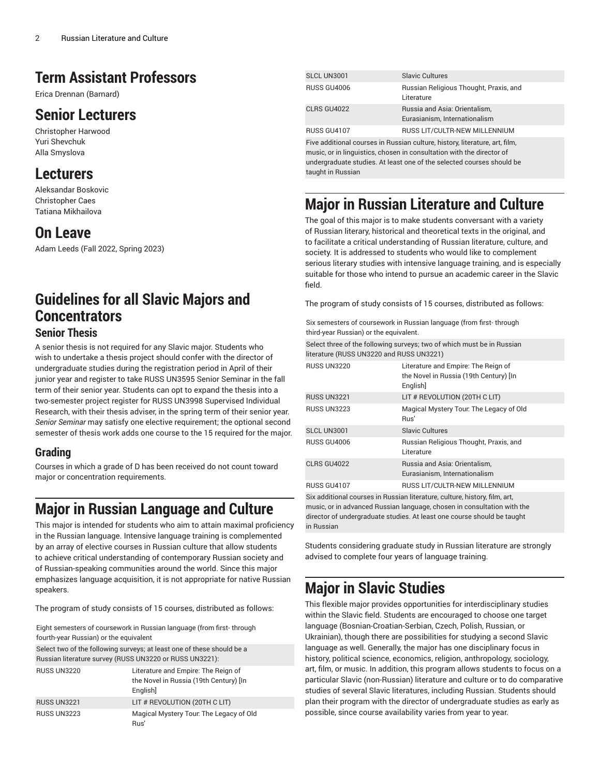# **Term Assistant Professors**

Erica Drennan (Barnard)

# **Senior Lecturers**

Christopher Harwood Yuri Shevchuk Alla Smyslova

# **Lecturers**

Aleksandar Boskovic Christopher Caes Tatiana Mikhailova

# **On Leave**

Adam Leeds (Fall 2022, Spring 2023)

# **Guidelines for all Slavic Majors and Concentrators**

# **Senior Thesis**

A senior thesis is not required for any Slavic major. Students who wish to undertake a thesis project should confer with the director of undergraduate studies during the registration period in April of their junior year and register to take RUSS UN3595 Senior Seminar in the fall term of their senior year. Students can opt to expand the thesis into a two-semester project register for RUSS UN3998 Supervised Individual Research, with their thesis adviser, in the spring term of their senior year. *Senior Seminar* may satisfy one elective requirement; the optional second semester of thesis work adds one course to the 15 required for the major.

# **Grading**

Courses in which a grade of D has been received do not count toward major or concentration requirements.

# **Major in Russian Language and Culture**

This major is intended for students who aim to attain maximal proficiency in the Russian language. Intensive language training is complemented by an array of elective courses in Russian culture that allow students to achieve critical understanding of contemporary Russian society and of Russian-speaking communities around the world. Since this major emphasizes language acquisition, it is not appropriate for native Russian speakers.

The program of study consists of 15 courses, distributed as follows:

Eight semesters of coursework in Russian language (from first- through fourth-year Russian) or the equivalent

Select two of the following surveys; at least one of these should be a Russian literature survey (RUSS UN3220 or RUSS UN3221):

| <b>RUSS UN3220</b> | Literature and Empire: The Reign of<br>the Novel in Russia (19th Century) [In<br>English |
|--------------------|------------------------------------------------------------------------------------------|
| <b>RUSS UN3221</b> | LIT # REVOLUTION (20TH C LIT)                                                            |
| <b>RUSS UN3223</b> | Magical Mystery Tour. The Legacy of Old<br>Rus'                                          |

| <b>SLCL UN3001</b> | <b>Slavic Cultures</b>                                         |
|--------------------|----------------------------------------------------------------|
| <b>RUSS GU4006</b> | Russian Religious Thought, Praxis, and<br>Literature           |
| CLRS GU4022        | Russia and Asia: Orientalism,<br>Eurasianism, Internationalism |
| <b>RUSS GU4107</b> | RUSS LIT/CULTR-NEW MILLENNIUM                                  |
|                    |                                                                |

Five additional courses in Russian culture, history, literature, art, film, music, or in linguistics, chosen in consultation with the director of undergraduate studies. At least one of the selected courses should be taught in Russian

# **Major in Russian Literature and Culture**

The goal of this major is to make students conversant with a variety of Russian literary, historical and theoretical texts in the original, and to facilitate a critical understanding of Russian literature, culture, and society. It is addressed to students who would like to complement serious literary studies with intensive language training, and is especially suitable for those who intend to pursue an academic career in the Slavic field.

The program of study consists of 15 courses, distributed as follows:

Six semesters of coursework in Russian language (from first- through third-year Russian) or the equivalent.

| Select three of the following surveys; two of which must be in Russian |
|------------------------------------------------------------------------|
| literature (RUSS UN3220 and RUSS UN3221)                               |

| <b>RUSS UN3220</b> | Literature and Empire: The Reign of<br>the Novel in Russia (19th Century) [In<br>Englishl |
|--------------------|-------------------------------------------------------------------------------------------|
| <b>RUSS UN3221</b> | LIT # REVOLUTION (20TH C LIT)                                                             |
| <b>RUSS UN3223</b> | Magical Mystery Tour: The Legacy of Old<br>Rus'                                           |
| SLCL UN3001        | Slavic Cultures                                                                           |
| <b>RUSS GU4006</b> | Russian Religious Thought, Praxis, and<br>Literature                                      |
| CLRS GU4022        | Russia and Asia: Orientalism,<br>Eurasianism, Internationalism                            |
| <b>RUSS GU4107</b> | RUSS LIT/CULTR-NEW MILLENNIUM                                                             |
|                    | Six additional courses in Russian literature, culture, history, film, art,                |

music, or in advanced Russian language, chosen in consultation with the director of undergraduate studies. At least one course should be taught in Russian

Students considering graduate study in Russian literature are strongly advised to complete four years of language training.

# **Major in Slavic Studies**

This flexible major provides opportunities for interdisciplinary studies within the Slavic field. Students are encouraged to choose one target language (Bosnian-Croatian-Serbian, Czech, Polish, Russian, or Ukrainian), though there are possibilities for studying a second Slavic language as well. Generally, the major has one disciplinary focus in history, political science, economics, religion, anthropology, sociology, art, film, or music. In addition, this program allows students to focus on a particular Slavic (non-Russian) literature and culture or to do comparative studies of several Slavic literatures, including Russian. Students should plan their program with the director of undergraduate studies as early as possible, since course availability varies from year to year.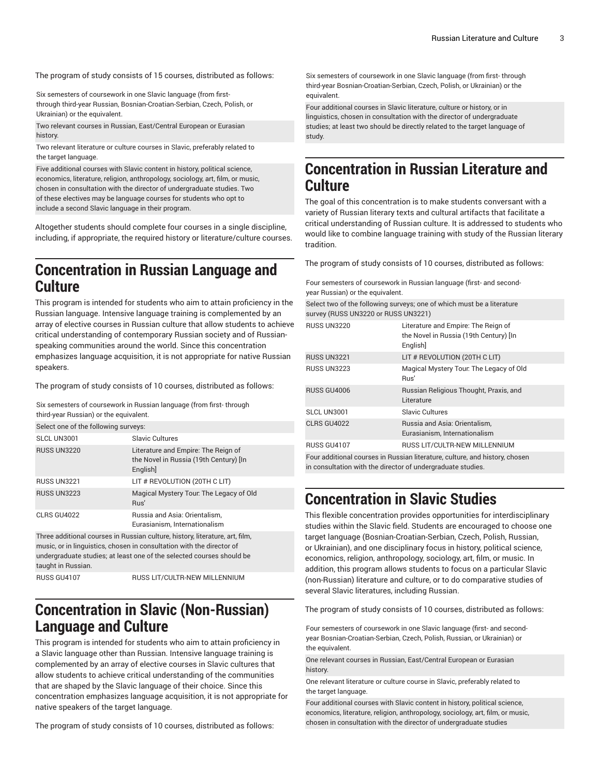The program of study consists of 15 courses, distributed as follows:

Six semesters of coursework in one Slavic language (from firstthrough third-year Russian, Bosnian-Croatian-Serbian, Czech, Polish, or Ukrainian) or the equivalent.

Two relevant courses in Russian, East/Central European or Eurasian history.

Two relevant literature or culture courses in Slavic, preferably related to the target language.

Five additional courses with Slavic content in history, political science, economics, literature, religion, anthropology, sociology, art, film, or music, chosen in consultation with the director of undergraduate studies. Two of these electives may be language courses for students who opt to include a second Slavic language in their program.

Altogether students should complete four courses in a single discipline, including, if appropriate, the required history or literature/culture courses.

# **Concentration in Russian Language and Culture**

This program is intended for students who aim to attain proficiency in the Russian language. Intensive language training is complemented by an array of elective courses in Russian culture that allow students to achieve critical understanding of contemporary Russian society and of Russianspeaking communities around the world. Since this concentration emphasizes language acquisition, it is not appropriate for native Russian speakers.

The program of study consists of 10 courses, distributed as follows:

Six semesters of coursework in Russian language (from first- through third-year Russian) or the equivalent.

| Select one of the following surveys:                                                                                                                  |                                                                                          |  |  |
|-------------------------------------------------------------------------------------------------------------------------------------------------------|------------------------------------------------------------------------------------------|--|--|
| SLCL UN3001                                                                                                                                           | Slavic Cultures                                                                          |  |  |
| <b>RUSS UN3220</b>                                                                                                                                    | Literature and Empire: The Reign of<br>the Novel in Russia (19th Century) [In<br>English |  |  |
| <b>RUSS UN3221</b>                                                                                                                                    | LIT # REVOLUTION (20TH C LIT)                                                            |  |  |
| <b>RUSS UN3223</b>                                                                                                                                    | Magical Mystery Tour. The Legacy of Old<br>Rus'                                          |  |  |
| CLRS GU4022                                                                                                                                           | Russia and Asia: Orientalism,<br>Eurasianism, Internationalism                           |  |  |
| Three additional courses in Russian culture, history, literature, art, film,<br>music, or in linguistics, chosen in consultation with the director of |                                                                                          |  |  |

music, or in linguistics, chosen in consultation with the director of undergraduate studies; at least one of the selected courses should be taught in Russian.

RUSS GU4107 RUSS LIT/CULTR-NEW MILLENNIUM

# **Concentration in Slavic (Non-Russian) Language and Culture**

This program is intended for students who aim to attain proficiency in a Slavic language other than Russian. Intensive language training is complemented by an array of elective courses in Slavic cultures that allow students to achieve critical understanding of the communities that are shaped by the Slavic language of their choice. Since this concentration emphasizes language acquisition, it is not appropriate for native speakers of the target language.

The program of study consists of 10 courses, distributed as follows:

Six semesters of coursework in one Slavic language (from first- through third-year Bosnian-Croatian-Serbian, Czech, Polish, or Ukrainian) or the equivalent.

Four additional courses in Slavic literature, culture or history, or in linguistics, chosen in consultation with the director of undergraduate studies; at least two should be directly related to the target language of study.

# **Concentration in Russian Literature and Culture**

The goal of this concentration is to make students conversant with a variety of Russian literary texts and cultural artifacts that facilitate a critical understanding of Russian culture. It is addressed to students who would like to combine language training with study of the Russian literary tradition.

The program of study consists of 10 courses, distributed as follows:

Four semesters of coursework in Russian language (first- and secondyear Russian) or the equivalent.

Select two of the following surveys; one of which must be a literature survey (RUSS UN3220 or RUSS UN3221)

| <b>RUSS UN3220</b> | Literature and Empire: The Reign of<br>the Novel in Russia (19th Century) [In<br>English] |
|--------------------|-------------------------------------------------------------------------------------------|
| <b>RUSS UN3221</b> | LIT # REVOLUTION (20TH C LIT)                                                             |
| <b>RUSS UN3223</b> | Magical Mystery Tour. The Legacy of Old<br>Rus'                                           |
| <b>RUSS GU4006</b> | Russian Religious Thought, Praxis, and<br>Literature                                      |
| SLCL UN3001        | Slavic Cultures                                                                           |
| CLRS GU4022        | Russia and Asia: Orientalism.<br>Eurasianism, Internationalism                            |
| <b>RUSS GU4107</b> | RUSS LIT/CULTR-NEW MILLENNIUM                                                             |
|                    | Four additional courses in Russian literature, culture, and history, chosen               |

Four additional courses in Russian literature, culture, and history, chosen in consultation with the director of undergraduate studies.

# **Concentration in Slavic Studies**

This flexible concentration provides opportunities for interdisciplinary studies within the Slavic field. Students are encouraged to choose one target language (Bosnian-Croatian-Serbian, Czech, Polish, Russian, or Ukrainian), and one disciplinary focus in history, political science, economics, religion, anthropology, sociology, art, film, or music. In addition, this program allows students to focus on a particular Slavic (non-Russian) literature and culture, or to do comparative studies of several Slavic literatures, including Russian.

The program of study consists of 10 courses, distributed as follows:

Four semesters of coursework in one Slavic language (first- and secondyear Bosnian-Croatian-Serbian, Czech, Polish, Russian, or Ukrainian) or the equivalent.

One relevant courses in Russian, East/Central European or Eurasian history.

One relevant literature or culture course in Slavic, preferably related to the target language.

Four additional courses with Slavic content in history, political science, economics, literature, religion, anthropology, sociology, art, film, or music, chosen in consultation with the director of undergraduate studies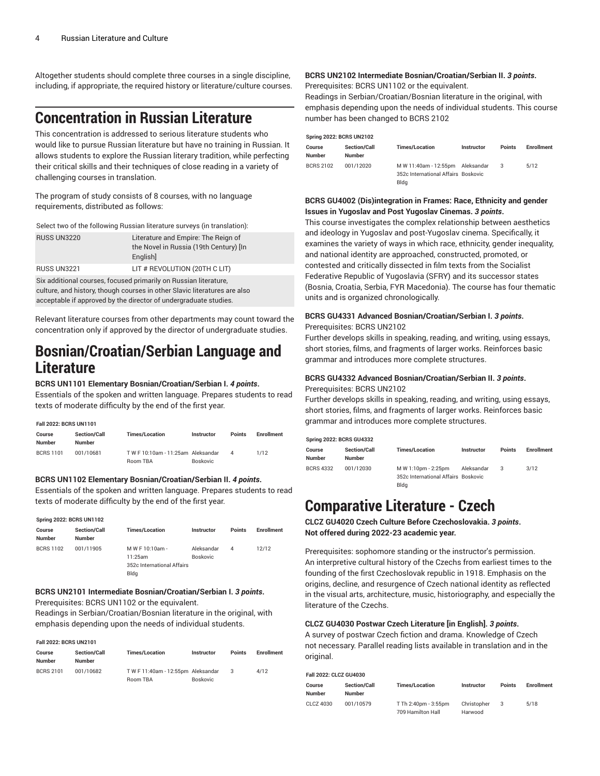Altogether students should complete three courses in a single discipline, including, if appropriate, the required history or literature/culture courses.

# **Concentration in Russian Literature**

This concentration is addressed to serious literature students who would like to pursue Russian literature but have no training in Russian. It allows students to explore the Russian literary tradition, while perfecting their critical skills and their techniques of close reading in a variety of challenging courses in translation.

The program of study consists of 8 courses, with no language requirements, distributed as follows:

Select two of the following Russian literature surveys (in translation):

| <b>RUSS UN3220</b> | Literature and Empire: The Reign of    |
|--------------------|----------------------------------------|
|                    | the Novel in Russia (19th Century) [In |
|                    | English                                |
| RUSS UN3221        | LIT # REVOLUTION (20TH C LIT)          |

Six additional courses, focused primarily on Russian literature, culture, and history, though courses in other Slavic literatures are also acceptable if approved by the director of undergraduate studies.

Relevant literature courses from other departments may count toward the concentration only if approved by the director of undergraduate studies.

# **Bosnian/Croatian/Serbian Language and Literature**

### **BCRS UN1101 Elementary Bosnian/Croatian/Serbian I.** *4 points***.**

Essentials of the spoken and written language. Prepares students to read texts of moderate difficulty by the end of the first year.

| Fall 2022: BCRS UN1101 |                                      |                                               |                 |          |                   |  |
|------------------------|--------------------------------------|-----------------------------------------------|-----------------|----------|-------------------|--|
| Course<br>Number       | <b>Section/Call</b><br><b>Number</b> | <b>Times/Location</b>                         | Instructor      | Points   | <b>Enrollment</b> |  |
| <b>BCRS 1101</b>       | 001/10681                            | TW F 10:10am - 11:25am Aleksandar<br>Room TBA | <b>Boskovic</b> | $\Delta$ | 1/12              |  |

### **BCRS UN1102 Elementary Bosnian/Croatian/Serbian II.** *4 points***.**

Essentials of the spoken and written language. Prepares students to read texts of moderate difficulty by the end of the first year.

### **Spring 2022: BCRS UN1102**

| Course<br><b>Number</b> | <b>Section/Call</b><br><b>Number</b> | <b>Times/Location</b>              | Instructor             | <b>Points</b> | <b>Enrollment</b> |
|-------------------------|--------------------------------------|------------------------------------|------------------------|---------------|-------------------|
| <b>BCRS 1102</b>        | 001/11905                            | M W F 10:10am -<br>11:25am         | Aleksandar<br>Boskovic | 4             | 12/12             |
|                         |                                      | 352c International Affairs<br>Bldg |                        |               |                   |

## **BCRS UN2101 Intermediate Bosnian/Croatian/Serbian I.** *3 points***.**

Prerequisites: BCRS UN1102 or the equivalent.

Readings in Serbian/Croatian/Bosnian literature in the original, with emphasis depending upon the needs of individual students.

#### **Fall 2022: BCRS UN2101**

| Course<br><b>Number</b> | <b>Section/Call</b><br><b>Number</b> | <b>Times/Location</b>           | <b>Instructor</b> | <b>Points</b> | <b>Enrollment</b> |
|-------------------------|--------------------------------------|---------------------------------|-------------------|---------------|-------------------|
| <b>BCRS 2101</b>        | 001/10682                            | TWF11:40am - 12:55pm Aleksandar |                   |               | 4/12              |
|                         |                                      | Room TBA                        | <b>Boskovic</b>   |               |                   |

# **BCRS UN2102 Intermediate Bosnian/Croatian/Serbian II.** *3 points***.**

Prerequisites: BCRS UN1102 or the equivalent.

Readings in Serbian/Croatian/Bosnian literature in the original, with emphasis depending upon the needs of individual students. This course number has been changed to BCRS 2102

| <b>Spring 2022: BCRS UN2102</b> |                                      |                                                                                 |            |               |            |  |
|---------------------------------|--------------------------------------|---------------------------------------------------------------------------------|------------|---------------|------------|--|
| Course<br>Number                | <b>Section/Call</b><br><b>Number</b> | <b>Times/Location</b>                                                           | Instructor | <b>Points</b> | Enrollment |  |
| <b>BCRS 2102</b>                | 001/12020                            | M W 11:40am - 12:55pm Aleksandar<br>352c International Affairs Boskovic<br>Blda |            |               | 5/12       |  |

# **BCRS GU4002 (Dis)integration in Frames: Race, Ethnicity and gender Issues in Yugoslav and Post Yugoslav Cinemas.** *3 points***.**

This course investigates the complex relationship between aesthetics and ideology in Yugoslav and post-Yugoslav cinema. Specifically, it examines the variety of ways in which race, ethnicity, gender inequality, and national identity are approached, constructed, promoted, or contested and critically dissected in film texts from the Socialist Federative Republic of Yugoslavia (SFRY) and its successor states (Bosnia, Croatia, Serbia, FYR Macedonia). The course has four thematic units and is organized chronologically.

### **BCRS GU4331 Advanced Bosnian/Croatian/Serbian I.** *3 points***.** Prerequisites: BCRS UN2102

Further develops skills in speaking, reading, and writing, using essays, short stories, films, and fragments of larger works. Reinforces basic grammar and introduces more complete structures.

# **BCRS GU4332 Advanced Bosnian/Croatian/Serbian II.** *3 points***.**

#### Prerequisites: BCRS UN2102

Further develops skills in speaking, reading, and writing, using essays, short stories, films, and fragments of larger works. Reinforces basic grammar and introduces more complete structures.

| <b>Spring 2022: BCRS GU4332</b> |                                      |                                                                    |            |               |            |
|---------------------------------|--------------------------------------|--------------------------------------------------------------------|------------|---------------|------------|
| Course<br><b>Number</b>         | <b>Section/Call</b><br><b>Number</b> | <b>Times/Location</b>                                              | Instructor | <b>Points</b> | Enrollment |
| <b>BCRS 4332</b>                | 001/12030                            | M W 1:10pm - 2:25pm<br>352c International Affairs Boskovic<br>Blda | Aleksandar | 3             | 3/12       |

# **Comparative Literature - Czech**

**CLCZ GU4020 Czech Culture Before Czechoslovakia.** *3 points***. Not offered during 2022-23 academic year.**

Prerequisites: sophomore standing or the instructor's permission. An interpretive cultural history of the Czechs from earliest times to the founding of the first Czechoslovak republic in 1918. Emphasis on the origins, decline, and resurgence of Czech national identity as reflected in the visual arts, architecture, music, historiography, and especially the literature of the Czechs.

## **CLCZ GU4030 Postwar Czech Literature [in English].** *3 points***.**

A survey of postwar Czech fiction and drama. Knowledge of Czech not necessary. Parallel reading lists available in translation and in the original.

| Fall 2022: CLCZ GU4030  |                                      |                                           |                        |               |            |
|-------------------------|--------------------------------------|-------------------------------------------|------------------------|---------------|------------|
| Course<br><b>Number</b> | <b>Section/Call</b><br><b>Number</b> | <b>Times/Location</b>                     | Instructor             | <b>Points</b> | Enrollment |
| CLCZ 4030               | 001/10579                            | T Th 2:40pm - 3:55pm<br>709 Hamilton Hall | Christopher<br>Harwood | 3             | 5/18       |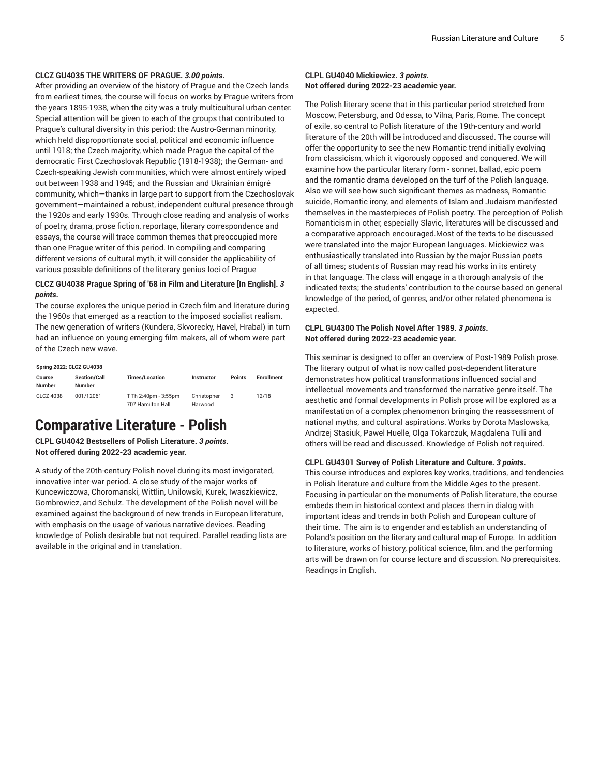### **CLCZ GU4035 THE WRITERS OF PRAGUE.** *3.00 points***.**

After providing an overview of the history of Prague and the Czech lands from earliest times, the course will focus on works by Prague writers from the years 1895-1938, when the city was a truly multicultural urban center. Special attention will be given to each of the groups that contributed to Prague's cultural diversity in this period: the Austro-German minority, which held disproportionate social, political and economic influence until 1918; the Czech majority, which made Prague the capital of the democratic First Czechoslovak Republic (1918-1938); the German- and Czech-speaking Jewish communities, which were almost entirely wiped out between 1938 and 1945; and the Russian and Ukrainian émigré community, which—thanks in large part to support from the Czechoslovak government—maintained a robust, independent cultural presence through the 1920s and early 1930s. Through close reading and analysis of works of poetry, drama, prose fiction, reportage, literary correspondence and essays, the course will trace common themes that preoccupied more than one Prague writer of this period. In compiling and comparing different versions of cultural myth, it will consider the applicability of various possible definitions of the literary genius loci of Prague

## **CLCZ GU4038 Prague Spring of '68 in Film and Literature [In English].** *3 points***.**

The course explores the unique period in Czech film and literature during the 1960s that emerged as a reaction to the imposed socialist realism. The new generation of writers (Kundera, Skvorecky, Havel, Hrabal) in turn had an influence on young emerging film makers, all of whom were part of the Czech new wave.

| <b>Spring 2022: CLCZ GU4038</b> |                                      |                                           |                        |               |                   |  |  |  |
|---------------------------------|--------------------------------------|-------------------------------------------|------------------------|---------------|-------------------|--|--|--|
| Course<br><b>Number</b>         | <b>Section/Call</b><br><b>Number</b> | <b>Times/Location</b>                     | Instructor             | <b>Points</b> | <b>Enrollment</b> |  |  |  |
| CLCZ 4038                       | 001/12061                            | T Th 2:40pm - 3:55pm<br>707 Hamilton Hall | Christopher<br>Harwood | 3             | 12/18             |  |  |  |

# **Comparative Literature - Polish**

**CLPL GU4042 Bestsellers of Polish Literature.** *3 points***. Not offered during 2022-23 academic year.**

A study of the 20th-century Polish novel during its most invigorated, innovative inter-war period. A close study of the major works of Kuncewiczowa, Choromanski, Wittlin, Unilowski, Kurek, Iwaszkiewicz, Gombrowicz, and Schulz. The development of the Polish novel will be examined against the background of new trends in European literature, with emphasis on the usage of various narrative devices. Reading knowledge of Polish desirable but not required. Parallel reading lists are available in the original and in translation.

# **CLPL GU4040 Mickiewicz.** *3 points***. Not offered during 2022-23 academic year.**

The Polish literary scene that in this particular period stretched from Moscow, Petersburg, and Odessa, to Vilna, Paris, Rome. The concept of exile, so central to Polish literature of the 19th-century and world literature of the 20th will be introduced and discussed. The course will offer the opportunity to see the new Romantic trend initially evolving from classicism, which it vigorously opposed and conquered. We will examine how the particular literary form - sonnet, ballad, epic poem and the romantic drama developed on the turf of the Polish language. Also we will see how such significant themes as madness, Romantic suicide, Romantic irony, and elements of Islam and Judaism manifested themselves in the masterpieces of Polish poetry. The perception of Polish Romanticism in other, especially Slavic, literatures will be discussed and a comparative approach encouraged.Most of the texts to be discussed were translated into the major European languages. Mickiewicz was enthusiastically translated into Russian by the major Russian poets of all times; students of Russian may read his works in its entirety in that language. The class will engage in a thorough analysis of the indicated texts; the students' contribution to the course based on general knowledge of the period, of genres, and/or other related phenomena is expected.

# **CLPL GU4300 The Polish Novel After 1989.** *3 points***. Not offered during 2022-23 academic year.**

This seminar is designed to offer an overview of Post-1989 Polish prose. The literary output of what is now called post-dependent literature demonstrates how political transformations influenced social and intellectual movements and transformed the narrative genre itself. The aesthetic and formal developments in Polish prose will be explored as a manifestation of a complex phenomenon bringing the reassessment of national myths, and cultural aspirations. Works by Dorota Maslowska, Andrzej Stasiuk, Pawel Huelle, Olga Tokarczuk, Magdalena Tulli and others will be read and discussed. Knowledge of Polish not required.

# **CLPL GU4301 Survey of Polish Literature and Culture.** *3 points***.**

This course introduces and explores key works, traditions, and tendencies in Polish literature and culture from the Middle Ages to the present. Focusing in particular on the monuments of Polish literature, the course embeds them in historical context and places them in dialog with important ideas and trends in both Polish and European culture of their time. The aim is to engender and establish an understanding of Poland's position on the literary and cultural map of Europe. In addition to literature, works of history, political science, film, and the performing arts will be drawn on for course lecture and discussion. No prerequisites. Readings in English.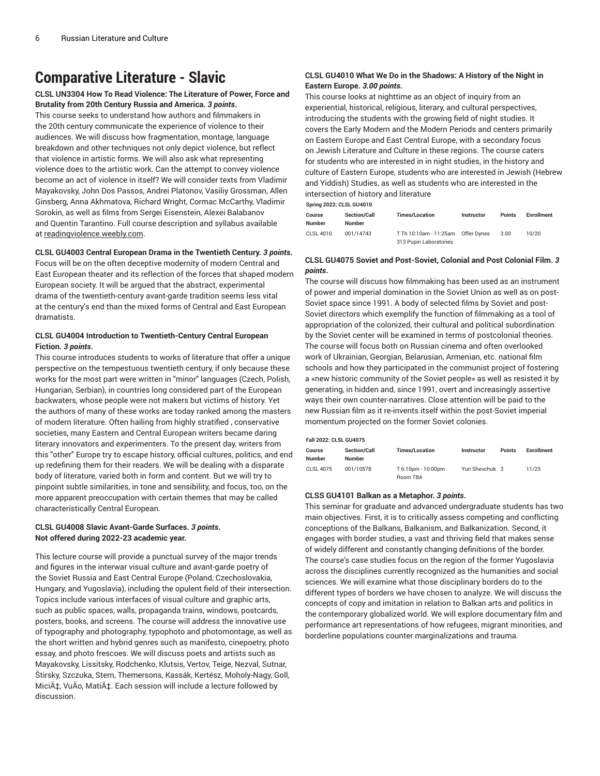# **Comparative Literature - Slavic**

# **CLSL UN3304 How To Read Violence: The Literature of Power, Force and Brutality from 20th Century Russia and America.** *3 points***.**

This course seeks to understand how authors and filmmakers in the 20th century communicate the experience of violence to their audiences. We will discuss how fragmentation, montage, language breakdown and other techniques not only depict violence, but reflect that violence in artistic forms. We will also ask what representing violence does to the artistic work. Can the attempt to convey violence become an act of violence in itself? We will consider texts from Vladimir Mayakovsky, John Dos Passos, Andrei Platonov, Vasiliy Grossman, Allen Ginsberg, Anna Akhmatova, Richard Wright, Cormac McCarthy, Vladimir Sorokin, as well as films from Sergei Eisenstein, Alexei Balabanov and Quentin Tarantino. Full course description and syllabus available at [readingviolence.weebly.com](http://readingviolence.weebly.com).

### **CLSL GU4003 Central European Drama in the Twentieth Century.** *3 points***.**

Focus will be on the often deceptive modernity of modern Central and East European theater and its reflection of the forces that shaped modern European society. It will be argued that the abstract, experimental drama of the twentieth-century avant-garde tradition seems less vital at the century's end than the mixed forms of Central and East European dramatists.

## **CLSL GU4004 Introduction to Twentieth-Century Central European Fiction.** *3 points***.**

This course introduces students to works of literature that offer a unique perspective on the tempestuous twentieth century, if only because these works for the most part were written in "minor" languages (Czech, Polish, Hungarian, Serbian), in countries long considered part of the European backwaters, whose people were not makers but victims of history. Yet the authors of many of these works are today ranked among the masters of modern literature. Often hailing from highly stratified , conservative societies, many Eastern and Central European writers became daring literary innovators and experimenters. To the present day, writers from this "other" Europe try to escape history, official cultures, politics, and end up redefining them for their readers. We will be dealing with a disparate body of literature, varied both in form and content. But we will try to pinpoint subtle similarities, in tone and sensibility, and focus, too, on the more apparent preoccupation with certain themes that may be called characteristically Central European.

## **CLSL GU4008 Slavic Avant-Garde Surfaces.** *3 points***. Not offered during 2022-23 academic year.**

This lecture course will provide a punctual survey of the major trends and figures in the interwar visual culture and avant-garde poetry of the Soviet Russia and East Central Europe (Poland, Czechoslovakia, Hungary, and Yugoslavia), including the opulent field of their intersection. Topics include various interfaces of visual culture and graphic arts, such as public spaces, walls, propaganda trains, windows, postcards, posters, books, and screens. The course will address the innovative use of typography and photography, typophoto and photomontage, as well as the short written and hybrid genres such as manifesto, cinepoetry, photo essay, and photo frescoes. We will discuss poets and artists such as Mayakovsky, Lissitsky, Rodchenko, Klutsis, Vertov, Teige, Nezval, Sutnar, Štirsky, Szczuka, Stern, Themersons, Kassák, Kertész, Moholy-Nagy, Goll, Micić, VuÄo, Matić. Each session will include a lecture followed by discussion.

# **CLSL GU4010 What We Do in the Shadows: A History of the Night in Eastern Europe.** *3.00 points***.**

This course looks at nighttime as an object of inquiry from an experiential, historical, religious, literary, and cultural perspectives, introducing the students with the growing field of night studies. It covers the Early Modern and the Modern Periods and centers primarily on Eastern Europe and East Central Europe, with a secondary focus on Jewish Literature and Culture in these regions. The course caters for students who are interested in in night studies, in the history and culture of Eastern Europe, students who are interested in Jewish (Hebrew and Yiddish) Studies, as well as students who are interested in the intersection of history and literature

**Spring 2022: CLSL GU4010**

|                  | $S1$ , $S2 = S1$    |                                                  |             |               |                   |  |  |  |  |  |
|------------------|---------------------|--------------------------------------------------|-------------|---------------|-------------------|--|--|--|--|--|
| Course           | <b>Section/Call</b> | <b>Times/Location</b>                            | Instructor  | <b>Points</b> | <b>Enrollment</b> |  |  |  |  |  |
| <b>Number</b>    | <b>Number</b>       |                                                  |             |               |                   |  |  |  |  |  |
| <b>CLSL 4010</b> | 001/14743           | T Th 10:10am - 11:25am<br>313 Pupin Laboratories | Offer Dynes | 3.00          | 10/20             |  |  |  |  |  |

## **CLSL GU4075 Soviet and Post-Soviet, Colonial and Post Colonial Film.** *3 points***.**

The course will discuss how filmmaking has been used as an instrument of power and imperial domination in the Soviet Union as well as on post-Soviet space since 1991. A body of selected films by Soviet and post-Soviet directors which exemplify the function of filmmaking as a tool of appropriation of the colonized, their cultural and political subordination by the Soviet center will be examined in terms of postcolonial theories. The course will focus both on Russian cinema and often overlooked work of Ukrainian, Georgian, Belarusian, Armenian, etc. national film schools and how they participated in the communist project of fostering a «new historic community of the Soviet people» as well as resisted it by generating, in hidden and, since 1991, overt and increasingly assertive ways their own counter-narratives. Close attention will be paid to the new Russian film as it re-invents itself within the post-Soviet imperial momentum projected on the former Soviet colonies.

#### **Fall 2022: CLSL GU4075**

| Course<br><b>Number</b> | <b>Section/Call</b><br><b>Number</b> | <b>Times/Location</b>          | <b>Instructor</b> | <b>Points</b> | <b>Enrollment</b> |
|-------------------------|--------------------------------------|--------------------------------|-------------------|---------------|-------------------|
| <b>CLSL 4075</b>        | 001/10578                            | T 6:10pm - 10:00pm<br>Room TBA | Yuri Shevchuk 3   |               | 11/25             |

#### **CLSS GU4101 Balkan as a Metaphor.** *3 points***.**

This seminar for graduate and advanced undergraduate students has two main objectives. First, it is to critically assess competing and conflicting conceptions of the Balkans, Balkanism, and Balkanization. Second, it engages with border studies, a vast and thriving field that makes sense of widely different and constantly changing definitions of the border. The course's case studies focus on the region of the former Yugoslavia across the disciplines currently recognized as the humanities and social sciences. We will examine what those disciplinary borders do to the different types of borders we have chosen to analyze. We will discuss the concepts of copy and imitation in relation to Balkan arts and politics in the contemporary globalized world. We will explore documentary film and performance art representations of how refugees, migrant minorities, and borderline populations counter marginalizations and trauma.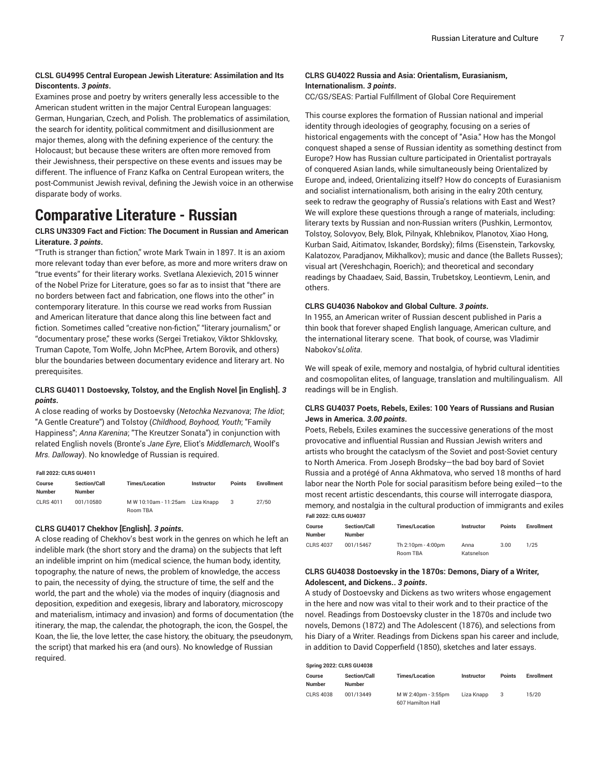# **CLSL GU4995 Central European Jewish Literature: Assimilation and Its Discontents.** *3 points***.**

Examines prose and poetry by writers generally less accessible to the American student written in the major Central European languages: German, Hungarian, Czech, and Polish. The problematics of assimilation, the search for identity, political commitment and disillusionment are major themes, along with the defining experience of the century: the Holocaust; but because these writers are often more removed from their Jewishness, their perspective on these events and issues may be different. The influence of Franz Kafka on Central European writers, the post-Communist Jewish revival, defining the Jewish voice in an otherwise disparate body of works.

# **Comparative Literature - Russian**

# **CLRS UN3309 Fact and Fiction: The Document in Russian and American Literature.** *3 points***.**

"Truth is stranger than fiction," wrote Mark Twain in 1897. It is an axiom more relevant today than ever before, as more and more writers draw on "true events" for their literary works. Svetlana Alexievich, 2015 winner of the Nobel Prize for Literature, goes so far as to insist that "there are no borders between fact and fabrication, one flows into the other" in contemporary literature. In this course we read works from Russian and American literature that dance along this line between fact and fiction. Sometimes called "creative non-fiction," "literary journalism," or "documentary prose," these works (Sergei Tretiakov, Viktor Shklovsky, Truman Capote, Tom Wolfe, John McPhee, Artem Borovik, and others) blur the boundaries between documentary evidence and literary art. No prerequisites.

## **CLRS GU4011 Dostoevsky, Tolstoy, and the English Novel [in English].** *3 points***.**

A close reading of works by Dostoevsky (*Netochka Nezvanova*; *The Idiot*; "A Gentle Creature") and Tolstoy (*Childhood, Boyhood, Youth*; "Family Happiness"; *Anna Karenina*; "The Kreutzer Sonata") in conjunction with related English novels (Bronte's *Jane Eyre*, Eliot's *Middlemarch*, Woolf's *Mrs. Dalloway*). No knowledge of Russian is required.

#### **Fall 2022: CLRS GU4011**

| Course<br><b>Number</b> | <b>Section/Call</b><br>Number | <b>Times/Location</b>                        | <b>Instructor</b> | <b>Points</b> | <b>Enrollment</b> |
|-------------------------|-------------------------------|----------------------------------------------|-------------------|---------------|-------------------|
| CLBS 4011               | 001/10580                     | M W 10:10am - 11:25am Liza Knapp<br>Room TBA |                   | 3             | 27/50             |

# **CLRS GU4017 Chekhov [English].** *3 points***.**

A close reading of Chekhov's best work in the genres on which he left an indelible mark (the short story and the drama) on the subjects that left an indelible imprint on him (medical science, the human body, identity, topography, the nature of news, the problem of knowledge, the access to pain, the necessity of dying, the structure of time, the self and the world, the part and the whole) via the modes of inquiry (diagnosis and deposition, expedition and exegesis, library and laboratory, microscopy and materialism, intimacy and invasion) and forms of documentation (the itinerary, the map, the calendar, the photograph, the icon, the Gospel, the Koan, the lie, the love letter, the case history, the obituary, the pseudonym, the script) that marked his era (and ours). No knowledge of Russian required.

# **CLRS GU4022 Russia and Asia: Orientalism, Eurasianism, Internationalism.** *3 points***.**

CC/GS/SEAS: Partial Fulfillment of Global Core Requirement

This course explores the formation of Russian national and imperial identity through ideologies of geography, focusing on a series of historical engagements with the concept of "Asia." How has the Mongol conquest shaped a sense of Russian identity as something destinct from Europe? How has Russian culture participated in Orientalist portrayals of conquered Asian lands, while simultaneously being Orientalized by Europe and, indeed, Orientalizing itself? How do concepts of Eurasianism and socialist internationalism, both arising in the ealry 20th century, seek to redraw the geography of Russia's relations with East and West? We will explore these questions through a range of materials, including: literary texts by Russian and non-Russian writers (Pushkin, Lermontov, Tolstoy, Solovyov, Bely, Blok, Pilnyak, Khlebnikov, Planotov, Xiao Hong, Kurban Said, Aitimatov, Iskander, Bordsky); films (Eisenstein, Tarkovsky, Kalatozov, Paradjanov, Mikhalkov); music and dance (the Ballets Russes); visual art (Vereshchagin, Roerich); and theoretical and secondary readings by Chaadaev, Said, Bassin, Trubetskoy, Leontievm, Lenin, and others.

### **CLRS GU4036 Nabokov and Global Culture.** *3 points***.**

In 1955, an American writer of Russian descent published in Paris a thin book that forever shaped English language, American culture, and the international literary scene. That book, of course, was Vladimir Nabokov's*Lolita*.

We will speak of exile, memory and nostalgia, of hybrid cultural identities and cosmopolitan elites, of language, translation and multilingualism. All readings will be in English.

# **CLRS GU4037 Poets, Rebels, Exiles: 100 Years of Russians and Rusian Jews in America.** *3.00 points***.**

Poets, Rebels, Exiles examines the successive generations of the most provocative and influential Russian and Russian Jewish writers and artists who brought the cataclysm of the Soviet and post-Soviet century to North America. From Joseph Brodsky—the bad boy bard of Soviet Russia and a protégé of Anna Akhmatova, who served 18 months of hard labor near the North Pole for social parasitism before being exiled—to the most recent artistic descendants, this course will interrogate diaspora, memory, and nostalgia in the cultural production of immigrants and exiles **Fall 2022: CLRS GU4037**

| Course<br><b>Number</b> | <b>Section/Call</b><br><b>Number</b> | <b>Times/Location</b>          | Instructor         | <b>Points</b> | <b>Enrollment</b> |
|-------------------------|--------------------------------------|--------------------------------|--------------------|---------------|-------------------|
| CLBS 4037               | 001/15467                            | Th 2:10pm - 4:00pm<br>Room TBA | Anna<br>Katsnelson | 3.00          | 1/25              |

### **CLRS GU4038 Dostoevsky in the 1870s: Demons, Diary of a Writer, Adolescent, and Dickens..** *3 points***.**

A study of Dostoevsky and Dickens as two writers whose engagement in the here and now was vital to their work and to their practice of the novel. Readings from Dostoevsky cluster in the 1870s and include two novels, Demons (1872) and The Adolescent (1876), and selections from his Diary of a Writer. Readings from Dickens span his career and include, in addition to David Copperfield (1850), sketches and later essays.

| Spring 2022: CLRS GU4038 |                                      |                                          |            |               |                   |
|--------------------------|--------------------------------------|------------------------------------------|------------|---------------|-------------------|
| Course<br><b>Number</b>  | <b>Section/Call</b><br><b>Number</b> | <b>Times/Location</b>                    | Instructor | <b>Points</b> | <b>Enrollment</b> |
| <b>CLRS 4038</b>         | 001/13449                            | M W 2:40pm - 3:55pm<br>607 Hamilton Hall | Liza Knapp | 3             | 15/20             |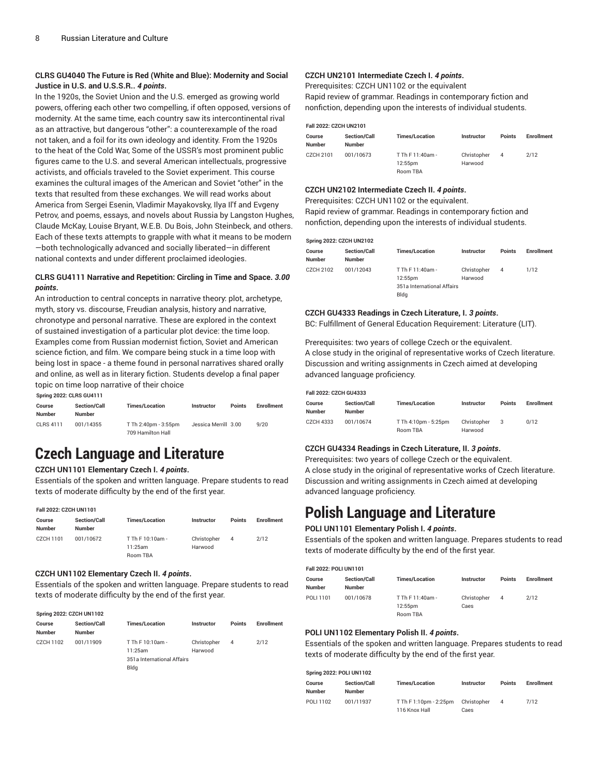# **CLRS GU4040 The Future is Red (White and Blue): Modernity and Social Justice in U.S. and U.S.S.R..** *4 points***.**

In the 1920s, the Soviet Union and the U.S. emerged as growing world powers, offering each other two compelling, if often opposed, versions of modernity. At the same time, each country saw its intercontinental rival as an attractive, but dangerous "other": a counterexample of the road not taken, and a foil for its own ideology and identity. From the 1920s to the heat of the Cold War, Some of the USSR's most prominent public figures came to the U.S. and several American intellectuals, progressive activists, and officials traveled to the Soviet experiment. This course examines the cultural images of the American and Soviet "other" in the texts that resulted from these exchanges. We will read works about America from Sergei Esenin, Vladimir Mayakovsky, Ilya Il'f and Evgeny Petrov, and poems, essays, and novels about Russia by Langston Hughes, Claude McKay, Louise Bryant, W.E.B. Du Bois, John Steinbeck, and others. Each of these texts attempts to grapple with what it means to be modern —both technologically advanced and socially liberated—in different national contexts and under different proclaimed ideologies.

# **CLRS GU4111 Narrative and Repetition: Circling in Time and Space.** *3.00 points***.**

An introduction to central concepts in narrative theory: plot, archetype, myth, story vs. discourse, Freudian analysis, history and narrative, chronotype and personal narrative. These are explored in the context of sustained investigation of a particular plot device: the time loop. Examples come from Russian modernist fiction, Soviet and American science fiction, and film. We compare being stuck in a time loop with being lost in space - a theme found in personal narratives shared orally and online, as well as in literary fiction. Students develop a final paper topic on time loop narrative of their choice

**Spring 2022: CLRS GU4111**

| Course<br><b>Number</b> | <b>Section/Call</b><br>Number | <b>Times/Location</b>                     | <b>Instructor</b>    | <b>Points</b> | <b>Enrollment</b> |
|-------------------------|-------------------------------|-------------------------------------------|----------------------|---------------|-------------------|
| CLBS 4111               | 001/14355                     | T Th 2:40pm - 3:55pm<br>709 Hamilton Hall | Jessica Merrill 3.00 |               | 9/20              |

# **Czech Language and Literature**

# **CZCH UN1101 Elementary Czech I.** *4 points***.**

Essentials of the spoken and written language. Prepare students to read texts of moderate difficulty by the end of the first year.

#### **Fall 2022: CZCH UN1101**

| Course<br>Number | <b>Section/Call</b><br><b>Number</b> | <b>Times/Location</b>       | <b>Instructor</b>      | <b>Points</b> | <b>Enrollment</b> |
|------------------|--------------------------------------|-----------------------------|------------------------|---------------|-------------------|
| CZCH 1101        | 001/10672                            | T Th F 10:10am -<br>11:25am | Christopher<br>Harwood | 4             | 2/12              |
|                  |                                      | Room TBA                    |                        |               |                   |

#### **CZCH UN1102 Elementary Czech II.** *4 points***.**

Essentials of the spoken and written language. Prepare students to read texts of moderate difficulty by the end of the first year.

### **Spring 2022: CZCH UN1102**

| Course<br>Number | <b>Section/Call</b><br><b>Number</b> | <b>Times/Location</b>      | <b>Instructor</b> | <b>Points</b> | <b>Enrollment</b> |
|------------------|--------------------------------------|----------------------------|-------------------|---------------|-------------------|
| CZCH 1102        | 001/11909                            | T Th F 10:10am -           | Christopher       | 4             | 2/12              |
|                  |                                      | 11:25am                    | Harwood           |               |                   |
|                  |                                      | 351a International Affairs |                   |               |                   |
|                  |                                      | Blda                       |                   |               |                   |

# **CZCH UN2101 Intermediate Czech I.** *4 points***.**

Prerequisites: CZCH UN1102 or the equivalent

Rapid review of grammar. Readings in contemporary fiction and nonfiction, depending upon the interests of individual students.

| Fall 2022: CZCH UN2101  |                                      |                             |                        |               |                   |
|-------------------------|--------------------------------------|-----------------------------|------------------------|---------------|-------------------|
| Course<br><b>Number</b> | <b>Section/Call</b><br><b>Number</b> | <b>Times/Location</b>       | Instructor             | <b>Points</b> | <b>Enrollment</b> |
| CZCH 2101               | 001/10673                            | T Th F 11:40am -<br>12:55pm | Christopher<br>Harwood | 4             | 2/12              |
|                         |                                      | Room TBA                    |                        |               |                   |

#### **CZCH UN2102 Intermediate Czech II.** *4 points***.**

Prerequisites: CZCH UN1102 or the equivalent. Rapid review of grammar. Readings in contemporary fiction and nonfiction, depending upon the interests of individual students.

| <b>Spring 2022: CZCH UN2102</b> |                                      |                                                                   |                        |               |            |
|---------------------------------|--------------------------------------|-------------------------------------------------------------------|------------------------|---------------|------------|
| Course<br><b>Number</b>         | <b>Section/Call</b><br><b>Number</b> | <b>Times/Location</b>                                             | Instructor             | <b>Points</b> | Enrollment |
| CZCH 2102                       | 001/12043                            | T Th F 11:40am -<br>12:55pm<br>351a International Affairs<br>Bldg | Christopher<br>Harwood | 4             | 1/12       |

# **CZCH GU4333 Readings in Czech Literature, I.** *3 points***.**

BC: Fulfillment of General Education Requirement: Literature (LIT).

Prerequisites: two years of college Czech or the equivalent. A close study in the original of representative works of Czech literature. Discussion and writing assignments in Czech aimed at developing advanced language proficiency.

| Fall 2022: CZCH GU4333 |                                      |                                  |                        |               |                   |  |  |
|------------------------|--------------------------------------|----------------------------------|------------------------|---------------|-------------------|--|--|
| Course<br>Number       | <b>Section/Call</b><br><b>Number</b> | <b>Times/Location</b>            | Instructor             | <b>Points</b> | <b>Enrollment</b> |  |  |
| CZCH 4333              | 001/10674                            | T Th 4:10pm - 5:25pm<br>Room TBA | Christopher<br>Harwood | 3             | 0/12              |  |  |

# **CZCH GU4334 Readings in Czech Literature, II.** *3 points***.**

Prerequisites: two years of college Czech or the equivalent. A close study in the original of representative works of Czech literature. Discussion and writing assignments in Czech aimed at developing advanced language proficiency.

# **Polish Language and Literature**

# **POLI UN1101 Elementary Polish I.** *4 points***.**

Essentials of the spoken and written language. Prepares students to read texts of moderate difficulty by the end of the first year.

#### **Fall 2022: POLI UN1101**

| Course<br>Number | <b>Section/Call</b><br><b>Number</b> | <b>Times/Location</b> | Instructor  | <b>Points</b> | <b>Enrollment</b> |
|------------------|--------------------------------------|-----------------------|-------------|---------------|-------------------|
| POLI 1101        | 001/10678                            | T Th F 11:40am -      | Christopher | 4             | 2/12              |
|                  |                                      | 12:55pm               | Caes        |               |                   |
|                  |                                      | Room TBA              |             |               |                   |

#### **POLI UN1102 Elementary Polish II.** *4 points***.**

Essentials of the spoken and written language. Prepares students to read texts of moderate difficulty by the end of the first year.

| <b>Spring 2022: POLI UN1102</b> |                                      |                                         |                     |               |                   |  |  |
|---------------------------------|--------------------------------------|-----------------------------------------|---------------------|---------------|-------------------|--|--|
| Course<br><b>Number</b>         | <b>Section/Call</b><br><b>Number</b> | <b>Times/Location</b>                   | <b>Instructor</b>   | <b>Points</b> | <b>Enrollment</b> |  |  |
| POLI 1102                       | 001/11937                            | T Th F 1:10pm - 2:25pm<br>116 Knox Hall | Christopher<br>Caes | 4             | 7/12              |  |  |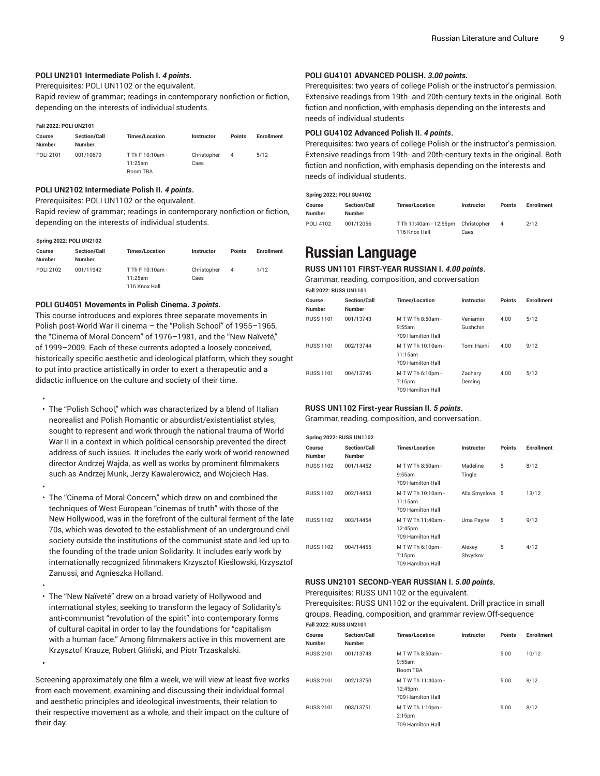### **POLI UN2101 Intermediate Polish I.** *4 points***.**

Prerequisites: POLI UN1102 or the equivalent.

Rapid review of grammar; readings in contemporary nonfiction or fiction, depending on the interests of individual students.

#### **Fall 2022: POLI UN2101**

| Course<br><b>Number</b> | <b>Section/Call</b><br>Number | <b>Times/Location</b> | <b>Instructor</b> | Points | <b>Enrollment</b> |
|-------------------------|-------------------------------|-----------------------|-------------------|--------|-------------------|
| POLI 2101               | 001/10679                     | T Th F 10:10am -      | Christopher       | 4      | 5/12              |
|                         |                               | 11:25am               | Caes              |        |                   |
|                         |                               | <b>Room TRA</b>       |                   |        |                   |

# **POLI UN2102 Intermediate Polish II.** *4 points***.**

Prerequisites: POLI UN1102 or the equivalent.

Rapid review of grammar; readings in contemporary nonfiction or fiction, depending on the interests of individual students.

#### **Spring 2022: POLI UN2102**

•

•

•

| Course<br><b>Number</b> | <b>Section/Call</b><br><b>Number</b> | <b>Times/Location</b> | Instructor  | <b>Points</b> | <b>Enrollment</b> |
|-------------------------|--------------------------------------|-----------------------|-------------|---------------|-------------------|
| POLI 2102               | 001/11942                            | T Th F 10:10am -      | Christopher | 4             | 1/12              |
|                         |                                      | 11:25am               | Caes        |               |                   |
|                         |                                      | 116 Knox Hall         |             |               |                   |

#### **POLI GU4051 Movements in Polish Cinema.** *3 points***.**

This course introduces and explores three separate movements in Polish post-World War II cinema – the "Polish School" of 1955–1965, the "Cinema of Moral Concern" of 1976–1981, and the "New Naïveté," of 1999–2009. Each of these currents adopted a loosely conceived, historically specific aesthetic and ideological platform, which they sought to put into practice artistically in order to exert a therapeutic and a didactic influence on the culture and society of their time.

- • The "Polish School," which was characterized by a blend of Italian neorealist and Polish Romantic or absurdist/existentialist styles, sought to represent and work through the national trauma of World War II in a context in which political censorship prevented the direct address of such issues. It includes the early work of world-renowned director Andrzej Wajda, as well as works by prominent filmmakers such as Andrzej Munk, Jerzy Kawalerowicz, and Wojciech Has.
- The "Cinema of Moral Concern," which drew on and combined the techniques of West European "cinemas of truth" with those of the New Hollywood, was in the forefront of the cultural ferment of the late 70s, which was devoted to the establishment of an underground civil society outside the institutions of the communist state and led up to the founding of the trade union Solidarity. It includes early work by internationally recognized filmmakers Krzysztof Kieślowski, Krzysztof Zanussi, and Agnieszka Holland.
- The "New Naïveté" drew on a broad variety of Hollywood and international styles, seeking to transform the legacy of Solidarity's anti-communist "revolution of the spirit" into contemporary forms of cultural capital in order to lay the foundations for "capitalism with a human face." Among filmmakers active in this movement are Krzysztof Krauze, Robert Gliński, and Piotr Trzaskalski.

Screening approximately one film a week, we will view at least five works from each movement, examining and discussing their individual formal and aesthetic principles and ideological investments, their relation to their respective movement as a whole, and their impact on the culture of their day.

### **POLI GU4101 ADVANCED POLISH.** *3.00 points***.**

Prerequisites: two years of college Polish or the instructor's permission. Extensive readings from 19th- and 20th-century texts in the original. Both fiction and nonfiction, with emphasis depending on the interests and needs of individual students

# **POLI GU4102 Advanced Polish II.** *4 points***.**

Prerequisites: two years of college Polish or the instructor's permission. Extensive readings from 19th- and 20th-century texts in the original. Both fiction and nonfiction, with emphasis depending on the interests and needs of individual students.

### **Spring 2022: POLI GU4102**

| Course<br><b>Number</b> | <b>Section/Call</b><br><b>Number</b> | <b>Times/Location</b>  | Instructor  | <b>Points</b> | <b>Enrollment</b> |
|-------------------------|--------------------------------------|------------------------|-------------|---------------|-------------------|
| POLI 4102               | 001/12056                            | T Th 11:40am - 12:55pm | Christopher |               | 2/12              |
|                         |                                      | 116 Knox Hall          | Caes        |               |                   |

# **Russian Language**

# **RUSS UN1101 FIRST-YEAR RUSSIAN I.** *4.00 points***.**

Grammar, reading, composition, and conversation

| <b>Fall 2022: RUSS UN1101</b> |                                      |                                                     |                      |               |            |  |  |
|-------------------------------|--------------------------------------|-----------------------------------------------------|----------------------|---------------|------------|--|--|
| Course<br>Number              | <b>Section/Call</b><br><b>Number</b> | <b>Times/Location</b>                               | Instructor           | <b>Points</b> | Enrollment |  |  |
| <b>RUSS 1101</b>              | 001/13743                            | M T W Th 8:50am -<br>9:55am<br>709 Hamilton Hall    | Veniamin<br>Gushchin | 4.00          | 5/12       |  |  |
| <b>RUSS 1101</b>              | 002/13744                            | M T W Th 10:10am -<br>11:15am<br>709 Hamilton Hall  | Tomi Haxhi           | 4.00          | 9/12       |  |  |
| <b>RUSS 1101</b>              | 004/13746                            | M T W Th 6:10pm -<br>$7:15$ pm<br>709 Hamilton Hall | Zachary<br>Deming    | 4.00          | 5/12       |  |  |

#### **RUSS UN1102 First-year Russian II.** *5 points***.**

Grammar, reading, composition, and conversation.

| <b>Spring 2022: RUSS UN1102</b> |                               |                                                     |                    |               |                   |  |  |  |
|---------------------------------|-------------------------------|-----------------------------------------------------|--------------------|---------------|-------------------|--|--|--|
| Course<br><b>Number</b>         | Section/Call<br><b>Number</b> | <b>Times/Location</b>                               | Instructor         | <b>Points</b> | <b>Enrollment</b> |  |  |  |
| <b>RUSS 1102</b>                | 001/14452                     | M T W Th 8:50am -<br>9:55am<br>709 Hamilton Hall    | Madeline<br>Tingle | 5             | 8/12              |  |  |  |
| <b>RUSS 1102</b>                | 002/14453                     | M T W Th 10:10am -<br>11:15am<br>709 Hamilton Hall  | Alla Smyslova 5    |               | 13/12             |  |  |  |
| <b>RUSS 1102</b>                | 003/14454                     | M T W Th 11:40am -<br>12:45pm<br>709 Hamilton Hall  | Uma Payne          | 5             | 9/12              |  |  |  |
| <b>RUSS 1102</b>                | 004/14455                     | M T W Th 6:10pm -<br>$7:15$ pm<br>709 Hamilton Hall | Alexey<br>Shvyrkov | 5             | 4/12              |  |  |  |

## **RUSS UN2101 SECOND-YEAR RUSSIAN I.** *5.00 points***.**

Prerequisites: RUSS UN1102 or the equivalent.

Prerequisites: RUSS UN1102 or the equivalent. Drill practice in small groups. Reading, composition, and grammar review.Off-sequence **Fall 2022: RUSS UN2101**

| Course<br>Number | Section/Call<br><b>Number</b> | <b>Times/Location</b>                               | Instructor | <b>Points</b> | <b>Enrollment</b> |
|------------------|-------------------------------|-----------------------------------------------------|------------|---------------|-------------------|
| <b>RUSS 2101</b> | 001/13748                     | M T W Th 8:50am -<br>9:55am<br>Room TBA             |            | 5.00          | 10/12             |
| <b>RUSS 2101</b> | 002/13750                     | M T W Th 11:40am -<br>12:45pm<br>709 Hamilton Hall  |            | 5.00          | 8/12              |
| <b>RUSS 2101</b> | 003/13751                     | M T W Th 1:10pm -<br>$2:15$ pm<br>709 Hamilton Hall |            | 5.00          | 8/12              |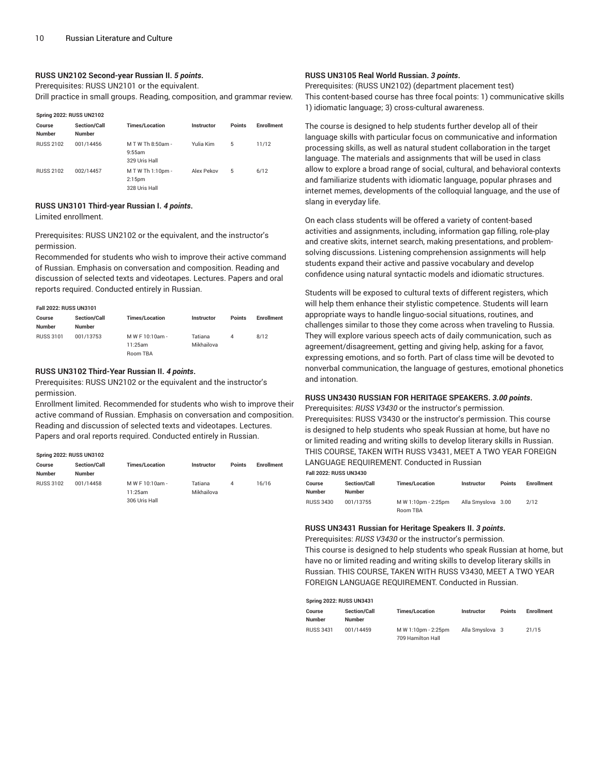### **RUSS UN2102 Second-year Russian II.** *5 points***.**

Prerequisites: RUSS UN2101 or the equivalent.

Drill practice in small groups. Reading, composition, and grammar review.

| <b>Spring 2022: RUSS UN2102</b> |                                      |                                                   |            |               |                   |  |  |  |
|---------------------------------|--------------------------------------|---------------------------------------------------|------------|---------------|-------------------|--|--|--|
| Course<br><b>Number</b>         | <b>Section/Call</b><br><b>Number</b> | <b>Times/Location</b>                             | Instructor | <b>Points</b> | <b>Enrollment</b> |  |  |  |
| <b>RUSS 2102</b>                | 001/14456                            | M T W Th 8:50am -<br>9:55am<br>329 Uris Hall      | Yulia Kim  | 5             | 11/12             |  |  |  |
| <b>RUSS 2102</b>                | 002/14457                            | $M$ T W Th 1:10pm -<br>$2:15$ pm<br>328 Uris Hall | Alex Pekov | 5             | 6/12              |  |  |  |

#### **RUSS UN3101 Third-year Russian I.** *4 points***.**

Limited enrollment.

Prerequisites: RUSS UN2102 or the equivalent, and the instructor's permission.

Recommended for students who wish to improve their active command of Russian. Emphasis on conversation and composition. Reading and discussion of selected texts and videotapes. Lectures. Papers and oral reports required. Conducted entirely in Russian.

**Fall 2022: RUSS UN3101**

| Course<br><b>Number</b> | <b>Section/Call</b><br><b>Number</b> | <b>Times/Location</b> | <b>Instructor</b> | <b>Points</b> | <b>Enrollment</b> |
|-------------------------|--------------------------------------|-----------------------|-------------------|---------------|-------------------|
| <b>RUSS 3101</b>        | 001/13753                            | M W F 10:10am -       | Tatiana           | 4             | 8/12              |
|                         |                                      | 11:25am               | Mikhailova        |               |                   |
|                         |                                      | Room TBA              |                   |               |                   |

#### **RUSS UN3102 Third-Year Russian II.** *4 points***.**

Prerequisites: RUSS UN2102 or the equivalent and the instructor's permission.

Enrollment limited. Recommended for students who wish to improve their active command of Russian. Emphasis on conversation and composition. Reading and discussion of selected texts and videotapes. Lectures. Papers and oral reports required. Conducted entirely in Russian.

# **Spring 2022: RUSS UN3102**

| Course           | <b>Section/Call</b> | <b>Times/Location</b> | <b>Instructor</b> | <b>Points</b> | <b>Enrollment</b> |
|------------------|---------------------|-----------------------|-------------------|---------------|-------------------|
| Number           | <b>Number</b>       |                       |                   |               |                   |
| <b>RUSS 3102</b> | 001/14458           | M W F 10:10am -       | Tatiana           | 4             | 16/16             |
|                  |                     | 11:25am               | Mikhailova        |               |                   |
|                  |                     | 306 Uris Hall         |                   |               |                   |

# **RUSS UN3105 Real World Russian.** *3 points***.**

Prerequisites: (RUSS UN2102) (department placement test) This content-based course has three focal points: 1) communicative skills 1) idiomatic language; 3) cross-cultural awareness.

The course is designed to help students further develop all of their language skills with particular focus on communicative and information processing skills, as well as natural student collaboration in the target language. The materials and assignments that will be used in class allow to explore a broad range of social, cultural, and behavioral contexts and familiarize students with idiomatic language, popular phrases and internet memes, developments of the colloquial language, and the use of slang in everyday life.

On each class students will be offered a variety of content-based activities and assignments, including, information gap filling, role-play and creative skits, internet search, making presentations, and problemsolving discussions. Listening comprehension assignments will help students expand their active and passive vocabulary and develop confidence using natural syntactic models and idiomatic structures.

Students will be exposed to cultural texts of different registers, which will help them enhance their stylistic competence. Students will learn appropriate ways to handle linguo-social situations, routines, and challenges similar to those they come across when traveling to Russia. They will explore various speech acts of daily communication, such as agreement/disagreement, getting and giving help, asking for a favor, expressing emotions, and so forth. Part of class time will be devoted to nonverbal communication, the language of gestures, emotional phonetics and intonation.

#### **RUSS UN3430 RUSSIAN FOR HERITAGE SPEAKERS.** *3.00 points***.**

Prerequisites: *RUSS V3430* or the instructor's permission. Prerequisites: RUSS V3430 or the instructor's permission. This course is designed to help students who speak Russian at home, but have no or limited reading and writing skills to develop literary skills in Russian. THIS COURSE, TAKEN WITH RUSS V3431, MEET A TWO YEAR FOREIGN LANGUAGE REQUIREMENT. Conducted in Russian

| $1.41$ 2022.1000000110700 |                                      |                                 |                    |               |                   |  |  |
|---------------------------|--------------------------------------|---------------------------------|--------------------|---------------|-------------------|--|--|
| Course<br><b>Number</b>   | <b>Section/Call</b><br><b>Number</b> | <b>Times/Location</b>           | Instructor         | <b>Points</b> | <b>Enrollment</b> |  |  |
| <b>RUSS 3430</b>          | 001/13755                            | M W 1:10pm - 2:25pm<br>Room TBA | Alla Smyslova 3.00 |               | 2/12              |  |  |

### **RUSS UN3431 Russian for Heritage Speakers II.** *3 points***.**

**Fall 2022: RUSS UN3430**

**Spring 2022: RUSS UN3431**

Prerequisites: *RUSS V3430* or the instructor's permission. This course is designed to help students who speak Russian at home, but have no or limited reading and writing skills to develop literary skills in Russian. THIS COURSE, TAKEN WITH RUSS V3430, MEET A TWO YEAR FOREIGN LANGUAGE REQUIREMENT. Conducted in Russian.

| SDIING ZUZZ: KUSS UN343 I |                                      |                                          |                 |               |                   |
|---------------------------|--------------------------------------|------------------------------------------|-----------------|---------------|-------------------|
| Course<br><b>Number</b>   | <b>Section/Call</b><br><b>Number</b> | <b>Times/Location</b>                    | Instructor      | <b>Points</b> | <b>Enrollment</b> |
| <b>RUSS 3431</b>          | 001/14459                            | M W 1:10pm - 2:25pm<br>709 Hamilton Hall | Alla Smyslova 3 |               | 21/15             |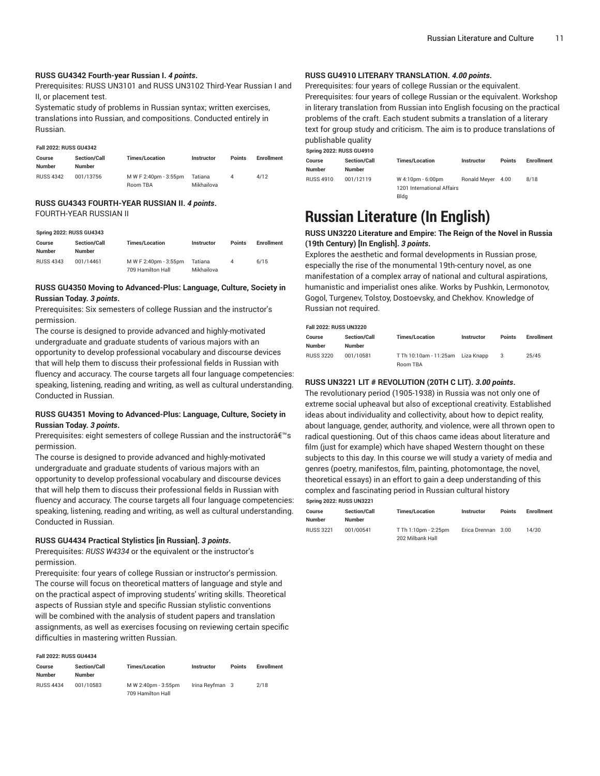### **RUSS GU4342 Fourth-year Russian I.** *4 points***.**

Prerequisites: RUSS UN3101 and RUSS UN3102 Third-Year Russian I and II, or placement test.

Systematic study of problems in Russian syntax; written exercises, translations into Russian, and compositions. Conducted entirely in Russian.

#### **Fall 2022: RUSS GU4342**

| Course<br><b>Number</b> | <b>Section/Call</b><br><b>Number</b> | <b>Times/Location</b>             | <b>Instructor</b>     | <b>Points</b> | <b>Enrollment</b> |
|-------------------------|--------------------------------------|-----------------------------------|-----------------------|---------------|-------------------|
| <b>RUSS 4342</b>        | 001/13756                            | M W F 2:40pm - 3:55pm<br>Room TBA | Tatiana<br>Mikhailova | 4             | 4/12              |

### **RUSS GU4343 FOURTH-YEAR RUSSIAN II.** *4 points***.** FOURTH-YEAR RUSSIAN II

#### **Spring 2022: RUSS GU4343**

| $Sp$ , $Sp$ and $Sp$ are $Sp$ and $Sp$ |                     |                                            |                       |               |                   |
|----------------------------------------|---------------------|--------------------------------------------|-----------------------|---------------|-------------------|
| Course                                 | <b>Section/Call</b> | <b>Times/Location</b>                      | Instructor            | <b>Points</b> | <b>Enrollment</b> |
| <b>Number</b>                          | <b>Number</b>       |                                            |                       |               |                   |
| <b>RUSS 4343</b>                       | 001/14461           | M W F 2:40pm - 3:55pm<br>709 Hamilton Hall | Tatiana<br>Mikhailova | 4             | 6/15              |

### **RUSS GU4350 Moving to Advanced-Plus: Language, Culture, Society in Russian Today.** *3 points***.**

Prerequisites: Six semesters of college Russian and the instructor's permission.

The course is designed to provide advanced and highly-motivated undergraduate and graduate students of various majors with an opportunity to develop professional vocabulary and discourse devices that will help them to discuss their professional fields in Russian with fluency and accuracy. The course targets all four language competencies: speaking, listening, reading and writing, as well as cultural understanding. Conducted in Russian.

## **RUSS GU4351 Moving to Advanced-Plus: Language, Culture, Society in Russian Today.** *3 points***.**

Prerequisites: eight semesters of college Russian and the instructorâ€<sup>™</sup>s permission.

The course is designed to provide advanced and highly-motivated undergraduate and graduate students of various majors with an opportunity to develop professional vocabulary and discourse devices that will help them to discuss their professional fields in Russian with fluency and accuracy. The course targets all four language competencies: speaking, listening, reading and writing, as well as cultural understanding. Conducted in Russian.

#### **RUSS GU4434 Practical Stylistics [in Russian].** *3 points***.**

Prerequisites: *RUSS W4334* or the equivalent or the instructor's permission.

Prerequisite: four years of college Russian or instructor's permission. The course will focus on theoretical matters of language and style and on the practical aspect of improving students' writing skills. Theoretical aspects of Russian style and specific Russian stylistic conventions will be combined with the analysis of student papers and translation assignments, as well as exercises focusing on reviewing certain specific difficulties in mastering written Russian.

#### **Fall 2022: RUSS GU4434**

| Course           | <b>Section/Call</b> | <b>Times/Location</b>                    | <b>Instructor</b> | <b>Points</b> | <b>Enrollment</b> |
|------------------|---------------------|------------------------------------------|-------------------|---------------|-------------------|
| <b>Number</b>    | <b>Number</b>       |                                          |                   |               |                   |
| <b>RUSS 4434</b> | 001/10583           | M W 2:40pm - 3:55pm<br>709 Hamilton Hall | Irina Revfman 3   |               | 2/18              |

### **RUSS GU4910 LITERARY TRANSLATION.** *4.00 points***.**

Prerequisites: four years of college Russian or the equivalent.

Prerequisites: four years of college Russian or the equivalent. Workshop in literary translation from Russian into English focusing on the practical problems of the craft. Each student submits a translation of a literary text for group study and criticism. The aim is to produce translations of publishable quality

**Spring 2022: RUSS GU4910**

| Course<br><b>Number</b> | <b>Section/Call</b><br><b>Number</b> | <b>Times/Location</b>                                   | <b>Instructor</b> | <b>Points</b> | <b>Enrollment</b> |
|-------------------------|--------------------------------------|---------------------------------------------------------|-------------------|---------------|-------------------|
| <b>RUSS 4910</b>        | 001/12119                            | W 4:10pm - 6:00pm<br>1201 International Affairs<br>Blda | Ronald Mever      | 4.00          | 8/18              |

# **Russian Literature (In English)**

## **RUSS UN3220 Literature and Empire: The Reign of the Novel in Russia (19th Century) [In English].** *3 points***.**

Explores the aesthetic and formal developments in Russian prose, especially the rise of the monumental 19th-century novel, as one manifestation of a complex array of national and cultural aspirations, humanistic and imperialist ones alike. Works by Pushkin, Lermonotov, Gogol, Turgenev, Tolstoy, Dostoevsky, and Chekhov. Knowledge of Russian not required.

#### **Fall 2022: RUSS UN3220**

| Course<br><b>Number</b> | <b>Section/Call</b><br><b>Number</b> | <b>Times/Location</b>             | <b>Instructor</b> | <b>Points</b> | <b>Enrollment</b> |
|-------------------------|--------------------------------------|-----------------------------------|-------------------|---------------|-------------------|
| <b>RUSS 3220</b>        | 001/10581                            | T Th 10:10am - 11:25am Liza Knapp |                   | 3             | 25/45             |
|                         |                                      | Room TBA                          |                   |               |                   |

### **RUSS UN3221 LIT # REVOLUTION (20TH C LIT).** *3.00 points***.**

The revolutionary period (1905-1938) in Russia was not only one of extreme social upheaval but also of exceptional creativity. Established ideas about individuality and collectivity, about how to depict reality, about language, gender, authority, and violence, were all thrown open to radical questioning. Out of this chaos came ideas about literature and film (just for example) which have shaped Western thought on these subjects to this day. In this course we will study a variety of media and genres (poetry, manifestos, film, painting, photomontage, the novel, theoretical essays) in an effort to gain a deep understanding of this complex and fascinating period in Russian cultural history **Spring 2022: RUSS UN3221**

| <b>JUING ZUZZ. NUJJ UNJZZ I</b> |                  |                     |                                          |                    |               |                   |
|---------------------------------|------------------|---------------------|------------------------------------------|--------------------|---------------|-------------------|
|                                 | Course           | <b>Section/Call</b> | <b>Times/Location</b>                    | Instructor         | <b>Points</b> | <b>Enrollment</b> |
|                                 | <b>Number</b>    | <b>Number</b>       |                                          |                    |               |                   |
|                                 | <b>RUSS 3221</b> | 001/00541           | T Th 1:10pm - 2:25pm<br>202 Milbank Hall | Erica Drennan 3.00 |               | 14/30             |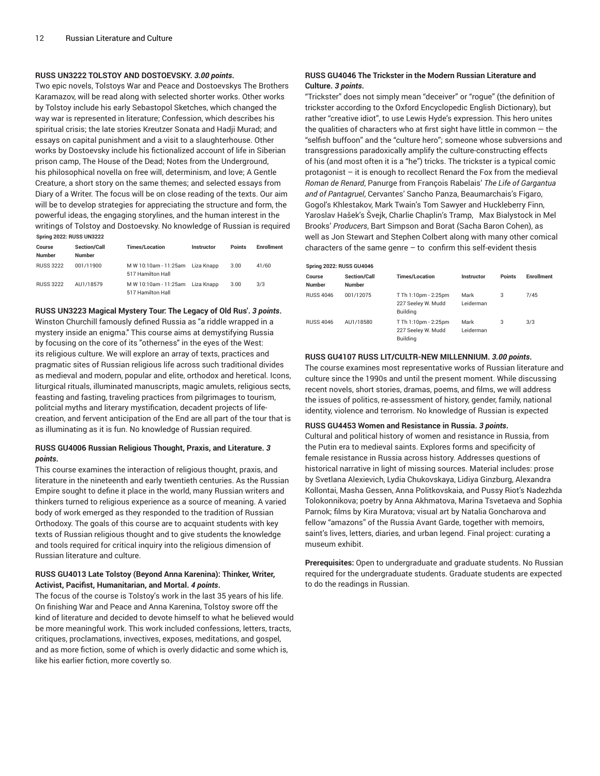## **RUSS UN3222 TOLSTOY AND DOSTOEVSKY.** *3.00 points***.**

Two epic novels, Tolstoys War and Peace and Dostoevskys The Brothers Karamazov, will be read along with selected shorter works. Other works by Tolstoy include his early Sebastopol Sketches, which changed the way war is represented in literature; Confession, which describes his spiritual crisis; the late stories Kreutzer Sonata and Hadji Murad; and essays on capital punishment and a visit to a slaughterhouse. Other works by Dostoevsky include his fictionalized account of life in Siberian prison camp, The House of the Dead; Notes from the Underground, his philosophical novella on free will, determinism, and love; A Gentle Creature, a short story on the same themes; and selected essays from Diary of a Writer. The focus will be on close reading of the texts. Our aim will be to develop strategies for appreciating the structure and form, the powerful ideas, the engaging storylines, and the human interest in the writings of Tolstoy and Dostoevsky. No knowledge of Russian is required **Spring 2022: RUSS UN3222**

| Course<br><b>Number</b> | <b>Section/Call</b><br><b>Number</b> | <b>Times/Location</b>                                 | Instructor | <b>Points</b> | <b>Enrollment</b> |
|-------------------------|--------------------------------------|-------------------------------------------------------|------------|---------------|-------------------|
| <b>RUSS 3222</b>        | 001/11900                            | M W 10:10am - 11:25am Liza Knapp<br>517 Hamilton Hall |            | 3.00          | 41/60             |
| <b>RUSS 3222</b>        | AU1/18579                            | M W 10:10am - 11:25am Liza Knapp<br>517 Hamilton Hall |            | 3.00          | 3/3               |

**RUSS UN3223 Magical Mystery Tour: The Legacy of Old Rus'.** *3 points***.** Winston Churchill famously defined Russia as "a riddle wrapped in a mystery inside an enigma." This course aims at demystifying Russia by focusing on the core of its "otherness" in the eyes of the West: its religious culture. We will explore an array of texts, practices and pragmatic sites of Russian religious life across such traditional divides as medieval and modern, popular and elite, orthodox and heretical. Icons, liturgical rituals, illuminated manuscripts, magic amulets, religious sects, feasting and fasting, traveling practices from pilgrimages to tourism, politcial myths and literary mystification, decadent projects of lifecreation, and fervent anticipation of the End are all part of the tour that is as illuminating as it is fun. No knowledge of Russian required.

### **RUSS GU4006 Russian Religious Thought, Praxis, and Literature.** *3 points***.**

This course examines the interaction of religious thought, praxis, and literature in the nineteenth and early twentieth centuries. As the Russian Empire sought to define it place in the world, many Russian writers and thinkers turned to religious experience as a source of meaning. A varied body of work emerged as they responded to the tradition of Russian Orthodoxy. The goals of this course are to acquaint students with key texts of Russian religious thought and to give students the knowledge and tools required for critical inquiry into the religious dimension of Russian literature and culture.

### **RUSS GU4013 Late Tolstoy (Beyond Anna Karenina): Thinker, Writer, Activist, Pacifist, Humanitarian, and Mortal.** *4 points***.**

The focus of the course is Tolstoy's work in the last 35 years of his life. On finishing War and Peace and Anna Karenina, Tolstoy swore off the kind of literature and decided to devote himself to what he believed would be more meaningful work. This work included confessions, letters, tracts, critiques, proclamations, invectives, exposes, meditations, and gospel, and as more fiction, some of which is overly didactic and some which is, like his earlier fiction, more covertly so.

## **RUSS GU4046 The Trickster in the Modern Russian Literature and Culture.** *3 points***.**

"Trickster" does not simply mean "deceiver" or "rogue" (the definition of trickster according to the Oxford Encyclopedic English Dictionary), but rather "creative idiot", to use Lewis Hyde's expression. This hero unites the qualities of characters who at first sight have little in common  $-$  the "selfish buffoon" and the "culture hero"; someone whose subversions and transgressions paradoxically amplify the culture-constructing effects of his (and most often it is a "he") tricks. The trickster is a typical comic protagonist – it is enough to recollect Renard the Fox from the medieval *Roman de Renard*, Panurge from François Rabelais' *The Life of Gargantua and of Pantagruel*, Cervantes' Sanchо Panza, Beaumarchais's Figaro, Gogol's Khlestakov, Mark Twain's Tom Sawyer and Huckleberry Finn, Yaroslav Hašek's Švejk, Charlie Chaplin's Tramp, Max Bialystock in Mel Brooks' *Producers*, Bart Simpson and Borat (Sacha Baron Cohen), as well as Jon Stewart and Stephen Colbert along with many other comical characters of the same genre  $-$  to confirm this self-evident thesis

|                  | <b>Spring 2022: RUSS GU4046</b>      |                                                               |                   |               |                   |  |  |  |  |
|------------------|--------------------------------------|---------------------------------------------------------------|-------------------|---------------|-------------------|--|--|--|--|
| Course<br>Number | <b>Section/Call</b><br><b>Number</b> | <b>Times/Location</b>                                         | Instructor        | <b>Points</b> | <b>Enrollment</b> |  |  |  |  |
| <b>RUSS 4046</b> | 001/12075                            | T Th 1:10pm - 2:25pm<br>227 Seeley W. Mudd<br><b>Building</b> | Mark<br>Leiderman | 3             | 7/45              |  |  |  |  |
| <b>RUSS 4046</b> | AU1/18580                            | T Th 1:10pm - 2:25pm<br>227 Seeley W. Mudd<br>Buildina        | Mark<br>Leiderman | 3             | 3/3               |  |  |  |  |

### **RUSS GU4107 RUSS LIT/CULTR-NEW MILLENNIUM.** *3.00 points***.**

Thе course examines most representative works of Russian literature and culture since the 1990s and until the present moment. While discussing recent novels, short stories, dramas, poems, and films, we will address the issues of politics, re-assessment of history, gender, family, national identity, violence and terrorism. No knowledge of Russian is expected

#### **RUSS GU4453 Women and Resistance in Russia.** *3 points***.**

Cultural and political history of women and resistance in Russia, from the Putin era to medieval saints. Explores forms and specificity of female resistance in Russia across history. Addresses questions of historical narrative in light of missing sources. Material includes: prose by Svetlana Alexievich, Lydia Chukovskaya, Lidiya Ginzburg, Alexandra Kollontai, Masha Gessen, Anna Politkovskaia, and Pussy Riot's Nadezhda Tolokonnikova; poetry by Anna Akhmatova, Marina Tsvetaeva and Sophia Parnok; films by Kira Muratova; visual art by Natalia Goncharova and fellow "amazons" of the Russia Avant Garde, together with memoirs, saint's lives, letters, diaries, and urban legend. Final project: curating a museum exhibit.

**Prerequisites:** Open to undergraduate and graduate students. No Russian required for the undergraduate students. Graduate students are expected to do the readings in Russian.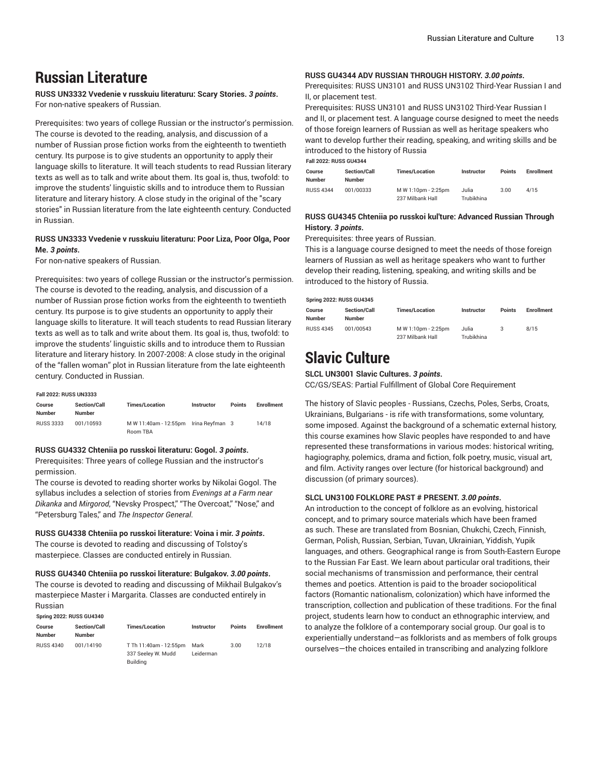# **Russian Literature**

**RUSS UN3332 Vvedenie v russkuiu literaturu: Scary Stories.** *3 points***.** For non-native speakers of Russian.

Prerequisites: two years of college Russian or the instructor's permission. The course is devoted to the reading, analysis, and discussion of a number of Russian prose fiction works from the eighteenth to twentieth century. Its purpose is to give students an opportunity to apply their language skills to literature. It will teach students to read Russian literary texts as well as to talk and write about them. Its goal is, thus, twofold: to improve the students' linguistic skills and to introduce them to Russian literature and literary history. A close study in the original of the "scary stories" in Russian literature from the late eighteenth century. Conducted in Russian.

# **RUSS UN3333 Vvedenie v russkuiu literaturu: Poor Liza, Poor Olga, Poor Me.** *3 points***.**

For non-native speakers of Russian.

Prerequisites: two years of college Russian or the instructor's permission. The course is devoted to the reading, analysis, and discussion of a number of Russian prose fiction works from the eighteenth to twentieth century. Its purpose is to give students an opportunity to apply their language skills to literature. It will teach students to read Russian literary texts as well as to talk and write about them. Its goal is, thus, twofold: to improve the students' linguistic skills and to introduce them to Russian literature and literary history. In 2007-2008: A close study in the original of the "fallen woman" plot in Russian literature from the late eighteenth century. Conducted in Russian.

#### **Fall 2022: RUSS UN3333**

**Spring 2022: RUSS GU4340**

| Course<br><b>Number</b> | <b>Section/Call</b><br><b>Number</b> | <b>Times/Location</b> | <b>Instructor</b> | <b>Points</b> | <b>Enrollment</b> |
|-------------------------|--------------------------------------|-----------------------|-------------------|---------------|-------------------|
| <b>RUSS 3333</b>        | 001/10593                            | M W 11:40am - 12:55pm | Irina Revfman 3   |               | 14/18             |
|                         |                                      | Room TBA              |                   |               |                   |

#### **RUSS GU4332 Chteniia po russkoi literaturu: Gogol.** *3 points***.**

Prerequisites: Three years of college Russian and the instructor's permission.

The course is devoted to reading shorter works by Nikolai Gogol. The syllabus includes a selection of stories from *Evenings at a Farm near Dikanka* and *Mirgorod*, "Nevsky Prospect," "The Overcoat," "Nose," and "Petersburg Tales," and *The Inspector General*.

**RUSS GU4338 Chteniia po russkoi literature: Voina i mir.** *3 points***.** The course is devoted to reading and discussing of Tolstoy's masterpiece. Classes are conducted entirely in Russian.

#### **RUSS GU4340 Chteniia po russkoi literature: Bulgakov.** *3.00 points***.**

The course is devoted to reading and discussing of Mikhail Bulgakov's masterpiece Master i Margarita. Classes are conducted entirely in Russian

| SUIIIIU ZUZZ. NUSS GU4S4U |                                      |                                                          |                   |               |                   |  |  |
|---------------------------|--------------------------------------|----------------------------------------------------------|-------------------|---------------|-------------------|--|--|
| Course<br>Number          | <b>Section/Call</b><br><b>Number</b> | <b>Times/Location</b>                                    | <b>Instructor</b> | <b>Points</b> | <b>Enrollment</b> |  |  |
| <b>RUSS 4340</b>          | 001/14190                            | T Th 11:40am - 12:55pm<br>337 Seeley W. Mudd<br>Building | Mark<br>Leiderman | 3.00          | 12/18             |  |  |

### **RUSS GU4344 ADV RUSSIAN THROUGH HISTORY.** *3.00 points***.**

Prerequisites: RUSS UN3101 and RUSS UN3102 Third-Year Russian I and II, or placement test.

Prerequisites: RUSS UN3101 and RUSS UN3102 Third-Year Russian I and II, or placement test. A language course designed to meet the needs of those foreign learners of Russian as well as heritage speakers who want to develop further their reading, speaking, and writing skills and be introduced to the history of Russia

**Fall 2022: RUSS GU4344**

| Course<br><b>Number</b> | <b>Section/Call</b><br><b>Number</b> | <b>Times/Location</b> | Instructor | <b>Points</b> | <b>Enrollment</b> |
|-------------------------|--------------------------------------|-----------------------|------------|---------------|-------------------|
| <b>RUSS 4344</b>        | 001/00333                            | M W 1:10pm - 2:25pm   | Julia      | 3.00          | 4/15              |
|                         |                                      | 237 Milbank Hall      | Trubikhina |               |                   |

### **RUSS GU4345 Chteniia po russkoi kul'ture: Advanced Russian Through History.** *3 points***.**

Prerequisites: three years of Russian.

This is a language course designed to meet the needs of those foreign learners of Russian as well as heritage speakers who want to further develop their reading, listening, speaking, and writing skills and be introduced to the history of Russia.

### **Spring 2022: RUSS GU4345**

| Course<br>Number | <b>Section/Call</b><br><b>Number</b> | <b>Times/Location</b> | Instructor | <b>Points</b> | <b>Enrollment</b> |
|------------------|--------------------------------------|-----------------------|------------|---------------|-------------------|
| <b>RUSS 4345</b> | 001/00543                            | M W 1:10pm - 2:25pm   | Julia      |               | 8/15              |
|                  |                                      | 237 Milbank Hall      | Trubikhina |               |                   |

# **Slavic Culture**

### **SLCL UN3001 Slavic Cultures.** *3 points***.**

CC/GS/SEAS: Partial Fulfillment of Global Core Requirement

The history of Slavic peoples - Russians, Czechs, Poles, Serbs, Croats, Ukrainians, Bulgarians - is rife with transformations, some voluntary, some imposed. Against the background of a schematic external history, this course examines how Slavic peoples have responded to and have represented these transformations in various modes: historical writing, hagiography, polemics, drama and fiction, folk poetry, music, visual art, and film. Activity ranges over lecture (for historical background) and discussion (of primary sources).

### **SLCL UN3100 FOLKLORE PAST # PRESENT.** *3.00 points***.**

An introduction to the concept of folklore as an evolving, historical concept, and to primary source materials which have been framed as such. These are translated from Bosnian, Chukchi, Czech, Finnish, German, Polish, Russian, Serbian, Tuvan, Ukrainian, Yiddish, Yupik languages, and others. Geographical range is from South-Eastern Europe to the Russian Far East. We learn about particular oral traditions, their social mechanisms of transmission and performance, their central themes and poetics. Attention is paid to the broader sociopolitical factors (Romantic nationalism, colonization) which have informed the transcription, collection and publication of these traditions. For the final project, students learn how to conduct an ethnographic interview, and to analyze the folklore of a contemporary social group. Our goal is to experientially understand—as folklorists and as members of folk groups ourselves—the choices entailed in transcribing and analyzing folklore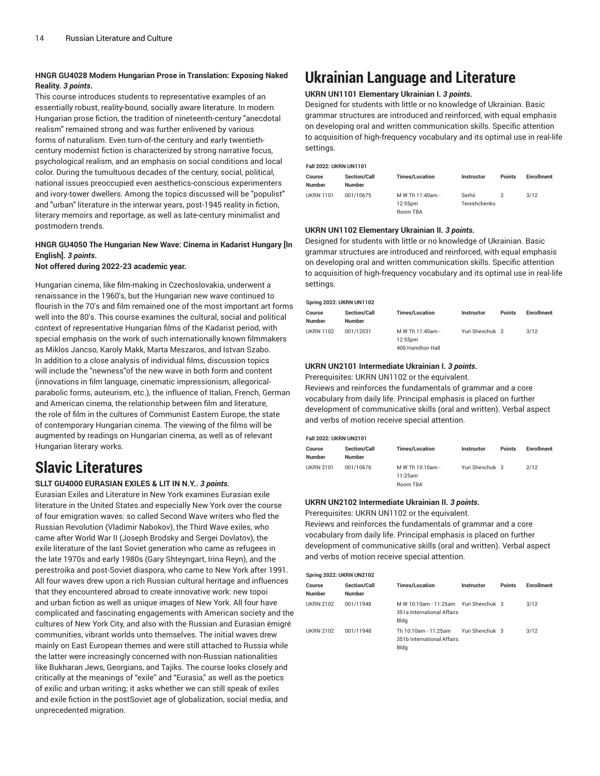# **HNGR GU4028 Modern Hungarian Prose in Translation: Exposing Naked Reality.** *3 points***.**

This course introduces students to representative examples of an essentially robust, reality-bound, socially aware literature. In modern Hungarian prose fiction, the tradition of nineteenth-century "anecdotal realism" remained strong and was further enlivened by various forms of naturalism. Even turn-of-the century and early twentiethcentury modernist fiction is characterized by strong narrative focus, psychological realism, and an emphasis on social conditions and local color. During the tumultuous decades of the century, social, political, national issues preoccupied even aesthetics-conscious experimenters and ivory-tower dwellers. Among the topics discussed will be "populist" and "urban" literature in the interwar years, post-1945 reality in fiction, literary memoirs and reportage, as well as late-century minimalist and postmodern trends.

# **HNGR GU4050 The Hungarian New Wave: Cinema in Kadarist Hungary [In English].** *3 points***.**

**Not offered during 2022-23 academic year.**

Hungarian cinema, like film-making in Czechoslovakia, underwent a renaissance in the 1960's, but the Hungarian new wave continued to flourish in the 70's and film remained one of the most important art forms well into the 80's. This course examines the cultural, social and political context of representative Hungarian films of the Kadarist period, with special emphasis on the work of such internationally known filmmakers as Miklos Jancso, Karoly Makk, Marta Meszaros, and Istvan Szabo. In addition to a close analysis of individual films, discussion topics will include the "newness"of the new wave in both form and content (innovations in film language, cinematic impressionism, allegoricalparabolic forms, auteurism, etc.), the influence of Italian, French, German and American cinema, the relationship between film and literature, the role of film in the cultures of Communist Eastern Europe, the state of contemporary Hungarian cinema. The viewing of the films will be augmented by readings on Hungarian cinema, as well as of relevant Hungarian literary works.

# **Slavic Literatures**

## **SLLT GU4000 EURASIAN EXILES & LIT IN N.Y..** *3 points***.**

Eurasian Exiles and Literature in New York examines Eurasian exile literature in the United States and especially New York over the course of four emigration waves: so called Second Wave writers who fled the Russian Revolution (Vladimir Nabokov), the Third Wave exiles, who came after World War II (Joseph Brodsky and Sergei Dovlatov), the exile literature of the last Soviet generation who came as refugees in the late 1970s and early 1980s (Gary Shteyngart, Irina Reyn), and the perestroika and post-Soviet diaspora, who came to New York after 1991. All four waves drew upon a rich Russian cultural heritage and influences that they encountered abroad to create innovative work: new topoi and urban fiction as well as unique images of New York. All four have complicated and fascinating engagements with American society and the cultures of New York City, and also with the Russian and Eurasian émigré communities, vibrant worlds unto themselves. The initial waves drew mainly on East European themes and were still attached to Russia while the latter were increasingly concerned with non-Russian nationalities like Bukharan Jews, Georgians, and Tajiks. The course looks closely and critically at the meanings of "exile" and "Eurasia," as well as the poetics of exilic and urban writing; it asks whether we can still speak of exiles and exile fiction in the postSoviet age of globalization, social media, and unprecedented migration.

# **Ukrainian Language and Literature**

### **UKRN UN1101 Elementary Ukrainian I.** *3 points***.**

Designed for students with little or no knowledge of Ukrainian. Basic grammar structures are introduced and reinforced, with equal emphasis on developing oral and written communication skills. Specific attention to acquisition of high-frequency vocabulary and its optimal use in real-life settings.

### **Fall 2022: UKRN UN1101**

| Course<br><b>Number</b> | <b>Section/Call</b><br><b>Number</b> | <b>Times/Location</b> | Instructor   | <b>Points</b> | <b>Enrollment</b> |
|-------------------------|--------------------------------------|-----------------------|--------------|---------------|-------------------|
| <b>UKRN 1101</b>        | 001/10675                            | M W Th 11:40am -      | Serhii       |               | 3/12              |
|                         |                                      | 12:55pm               | Tereshchenko |               |                   |
|                         |                                      | Room TBA              |              |               |                   |

# **UKRN UN1102 Elementary Ukrainian II.** *3 points***.**

Designed for students with little or no knowledge of Ukrainian. Basic grammar structures are introduced and reinforced, with equal emphasis on developing oral and written communication skills. Specific attention to acquisition of high-frequency vocabulary and its optimal use in real-life settings.

| <b>Spring 2022: UKRN UN1102</b> |                                      |                                                  |                 |               |                   |  |
|---------------------------------|--------------------------------------|--------------------------------------------------|-----------------|---------------|-------------------|--|
| Course<br><b>Number</b>         | <b>Section/Call</b><br><b>Number</b> | <b>Times/Location</b>                            | Instructor      | <b>Points</b> | <b>Enrollment</b> |  |
| <b>UKRN 1102</b>                | 001/12031                            | M W Th 11:40am -<br>12:55pm<br>406 Hamilton Hall | Yuri Shevchuk 3 |               | 3/12              |  |

### **UKRN UN2101 Intermediate Ukrainian I.** *3 points***.**

Prerequisites: UKRN UN1102 or the equivalent.

Reviews and reinforces the fundamentals of grammar and a core vocabulary from daily life. Principal emphasis is placed on further development of communicative skills (oral and written). Verbal aspect and verbs of motion receive special attention.

#### **Fall 2022: UKRN UN2101**

| Course<br><b>Number</b> | <b>Section/Call</b><br><b>Number</b> | <b>Times/Location</b> | Instructor      | <b>Points</b> | <b>Enrollment</b> |
|-------------------------|--------------------------------------|-----------------------|-----------------|---------------|-------------------|
| <b>UKRN 2101</b>        | 001/10676                            | M W Th 10:10am -      | Yuri Shevchuk 3 |               | 2/12              |
|                         |                                      | 11:25am               |                 |               |                   |
|                         |                                      | Room TBA              |                 |               |                   |

### **UKRN UN2102 Intermediate Ukrainian II.** *3 points***.**

Prerequisites: UKRN UN1102 or the equivalent.

Reviews and reinforces the fundamentals of grammar and a core vocabulary from daily life. Principal emphasis is placed on further development of communicative skills (oral and written). Verbal aspect and verbs of motion receive special attention.

#### **Spring 2022: UKRN UN2102**

| Course<br>Number | <b>Section/Call</b><br><b>Number</b> | <b>Times/Location</b>                                                       | Instructor      | <b>Points</b> | <b>Enrollment</b> |
|------------------|--------------------------------------|-----------------------------------------------------------------------------|-----------------|---------------|-------------------|
| <b>UKRN 2102</b> | 001/11948                            | M W 10:10am - 11:25am Yuri Shevchuk 3<br>351a International Affairs<br>Bldg |                 |               | 3/12              |
| <b>UKRN 2102</b> | 001/11948                            | Th 10:10am - 11:25am<br>351b International Affairs<br>Bldg                  | Yuri Shevchuk 3 |               | 3/12              |